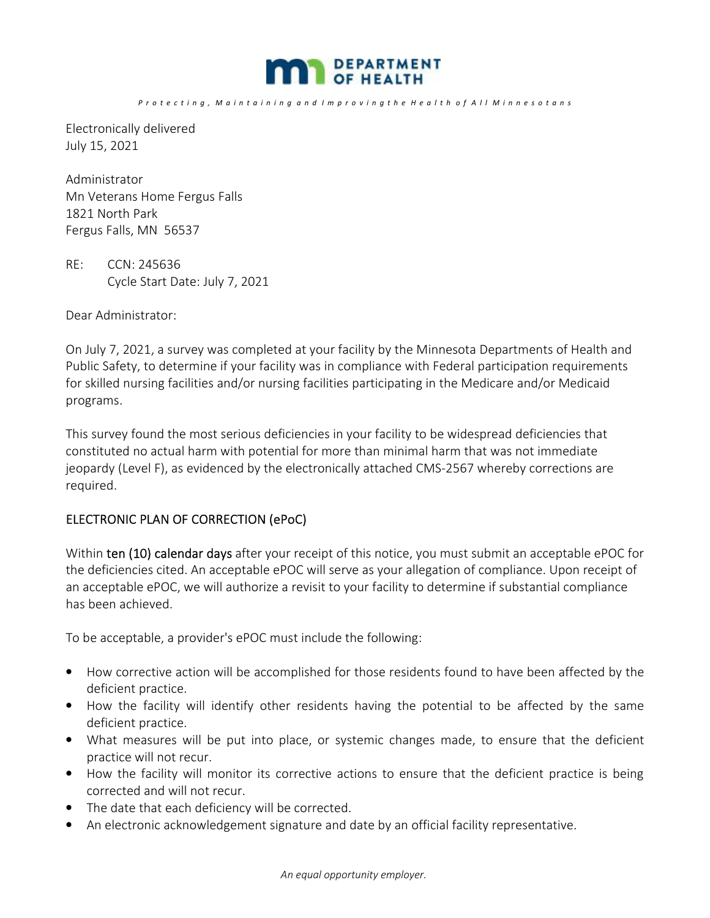

*P r o t e c t i n g , M a i n t a i n i n g a n d I m p r o v i n g t h e H e a l t h o f A l l M i n n e s o t a n s*

Electronically delivered July 15, 2021

Administrator Mn Veterans Home Fergus Falls 1821 North Park Fergus Falls, MN 56537

RE: CCN: 245636 Cycle Start Date: July 7, 2021

Dear Administrator:

On July 7, 2021, a survey was completed at your facility by the Minnesota Departments of Health and Public Safety, to determine if your facility was in compliance with Federal participation requirements for skilled nursing facilities and/or nursing facilities participating in the Medicare and/or Medicaid programs.

This survey found the most serious deficiencies in your facility to be widespread deficiencies that constituted no actual harm with potential for more than minimal harm that was not immediate jeopardy (Level F), as evidenced by the electronically attached CMS-2567 whereby corrections are required.

### ELECTRONIC PLAN OF CORRECTION (ePoC)

Within ten (10) calendar days after your receipt of this notice, you must submit an acceptable ePOC for the deficiencies cited. An acceptable ePOC will serve as your allegation of compliance. Upon receipt of an acceptable ePOC, we will authorize a revisit to your facility to determine if substantial compliance has been achieved.

To be acceptable, a provider's ePOC must include the following:

- How corrective action will be accomplished for those residents found to have been affected by the deficient practice.
- How the facility will identify other residents having the potential to be affected by the same deficient practice.
- What measures will be put into place, or systemic changes made, to ensure that the deficient practice will not recur.
- How the facility will monitor its corrective actions to ensure that the deficient practice is being corrected and will not recur.
- The date that each deficiency will be corrected.
- An electronic acknowledgement signature and date by an official facility representative.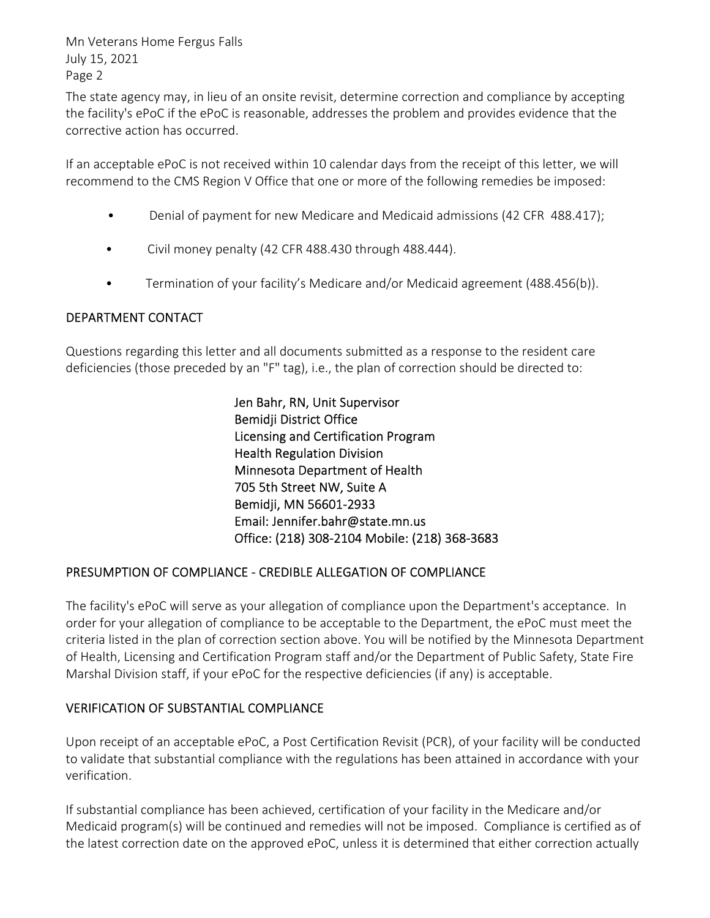Mn Veterans Home Fergus Falls July 15, 2021 Page 2

The state agency may, in lieu of an onsite revisit, determine correction and compliance by accepting the facility's ePoC if the ePoC is reasonable, addresses the problem and provides evidence that the corrective action has occurred.

If an acceptable ePoC is not received within 10 calendar days from the receipt of this letter, we will recommend to the CMS Region V Office that one or more of the following remedies be imposed:

- Denial of payment for new Medicare and Medicaid admissions (42 CFR 488.417);
- Civil money penalty (42 CFR 488.430 through 488.444).
- Termination of your facility's Medicare and/or Medicaid agreement (488.456(b)).

## DEPARTMENT CONTACT

Questions regarding this letter and all documents submitted as a response to the resident care deficiencies (those preceded by an "F" tag), i.e., the plan of correction should be directed to:

> Jen Bahr, RN, Unit Supervisor Bemidji District Office Licensing and Certification Program Health Regulation Division Minnesota Department of Health 705 5th Street NW, Suite A Bemidji, MN 56601-2933 Email: Jennifer.bahr@state.mn.us Office: (218) 308-2104 Mobile: (218) 368-3683

### PRESUMPTION OF COMPLIANCE - CREDIBLE ALLEGATION OF COMPLIANCE

The facility's ePoC will serve as your allegation of compliance upon the Department's acceptance. In order for your allegation of compliance to be acceptable to the Department, the ePoC must meet the criteria listed in the plan of correction section above. You will be notified by the Minnesota Department of Health, Licensing and Certification Program staff and/or the Department of Public Safety, State Fire Marshal Division staff, if your ePoC for the respective deficiencies (if any) is acceptable.

## VERIFICATION OF SUBSTANTIAL COMPLIANCE

Upon receipt of an acceptable ePoC, a Post Certification Revisit (PCR), of your facility will be conducted to validate that substantial compliance with the regulations has been attained in accordance with your verification.

If substantial compliance has been achieved, certification of your facility in the Medicare and/or Medicaid program(s) will be continued and remedies will not be imposed. Compliance is certified as of the latest correction date on the approved ePoC, unless it is determined that either correction actually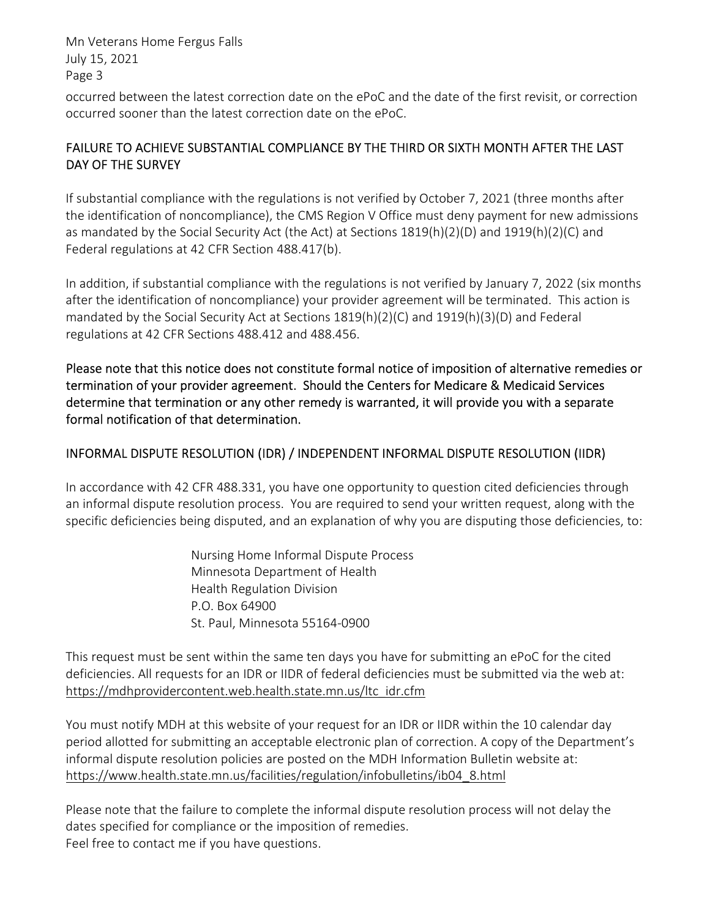Mn Veterans Home Fergus Falls July 15, 2021 Page 3

occurred between the latest correction date on the ePoC and the date of the first revisit, or correction occurred sooner than the latest correction date on the ePoC.

## FAILURE TO ACHIEVE SUBSTANTIAL COMPLIANCE BY THE THIRD OR SIXTH MONTH AFTER THE LAST DAY OF THE SURVEY

If substantial compliance with the regulations is not verified by October 7, 2021 (three months after the identification of noncompliance), the CMS Region V Office must deny payment for new admissions as mandated by the Social Security Act (the Act) at Sections 1819(h)(2)(D) and 1919(h)(2)(C) and Federal regulations at 42 CFR Section 488.417(b).

In addition, if substantial compliance with the regulations is not verified by January 7, 2022 (six months after the identification of noncompliance) your provider agreement will be terminated. This action is mandated by the Social Security Act at Sections 1819(h)(2)(C) and 1919(h)(3)(D) and Federal regulations at 42 CFR Sections 488.412 and 488.456.

Please note that this notice does not constitute formal notice of imposition of alternative remedies or termination of your provider agreement. Should the Centers for Medicare & Medicaid Services determine that termination or any other remedy is warranted, it will provide you with a separate formal notification of that determination.

## INFORMAL DISPUTE RESOLUTION (IDR) / INDEPENDENT INFORMAL DISPUTE RESOLUTION (IIDR)

In accordance with 42 CFR 488.331, you have one opportunity to question cited deficiencies through an informal dispute resolution process. You are required to send your written request, along with the specific deficiencies being disputed, and an explanation of why you are disputing those deficiencies, to:

> Nursing Home Informal Dispute Process Minnesota Department of Health Health Regulation Division P.O. Box 64900 St. Paul, Minnesota 55164-0900

This request must be sent within the same ten days you have for submitting an ePoC for the cited deficiencies. All requests for an IDR or IIDR of federal deficiencies must be submitted via the web at: https://mdhprovidercontent.web.health.state.mn.us/ltc\_idr.cfm

You must notify MDH at this website of your request for an IDR or IIDR within the 10 calendar day period allotted for submitting an acceptable electronic plan of correction. A copy of the Department's informal dispute resolution policies are posted on the MDH Information Bulletin website at: https://www.health.state.mn.us/facilities/regulation/infobulletins/ib04\_8.html

Please note that the failure to complete the informal dispute resolution process will not delay the dates specified for compliance or the imposition of remedies. Feel free to contact me if you have questions.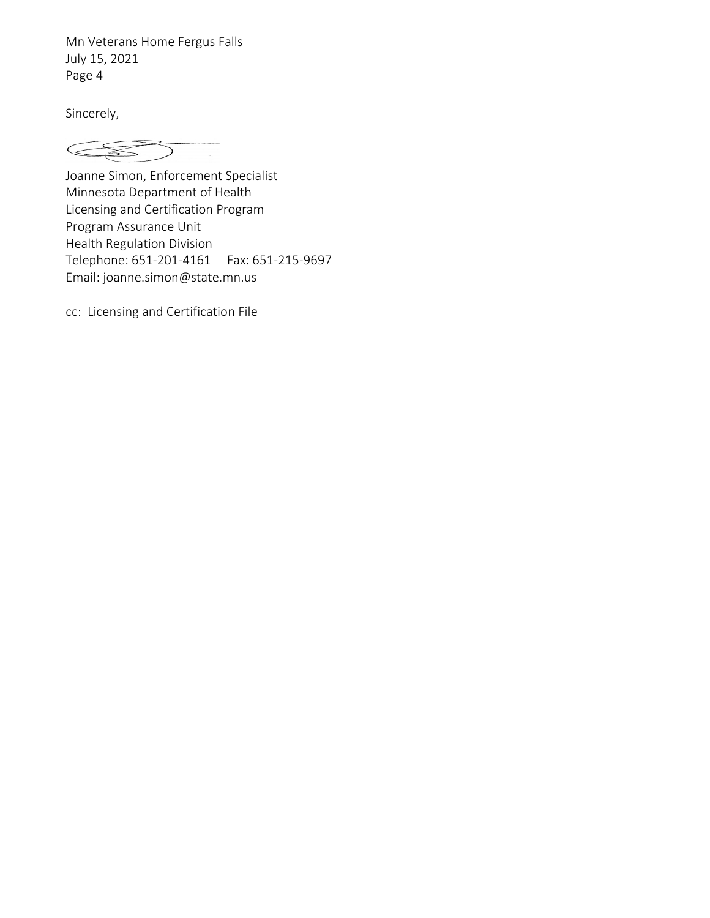Mn Veterans Home Fergus Falls July 15, 2021 Page 4

Sincerely,

 $\subset$ 

Joanne Simon, Enforcement Specialist Minnesota Department of Health Licensing and Certification Program Program Assurance Unit Health Regulation Division Telephone: 651-201-4161 Fax: 651-215-9697 Email: joanne.simon@state.mn.us

cc: Licensing and Certification File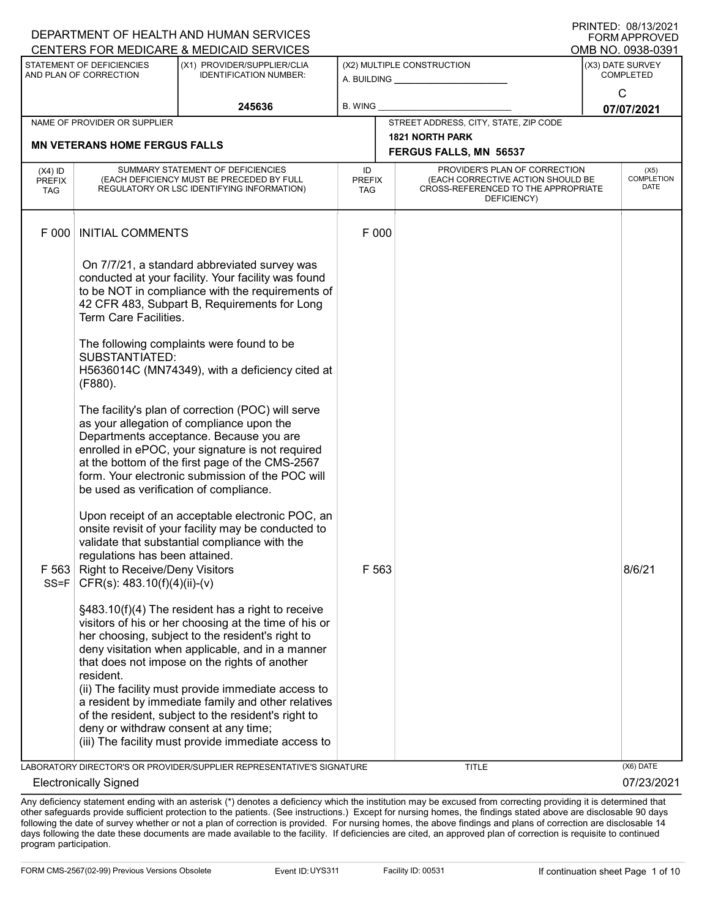| DEPARTMENT OF HEALTH AND HUMAN SERVICES<br><b>FORM APPROVED</b> |                                                                                                          |                                                                                                                                                                                                                                                                                                                           |                            |  |                                                                                                                          |                                           |                                          |
|-----------------------------------------------------------------|----------------------------------------------------------------------------------------------------------|---------------------------------------------------------------------------------------------------------------------------------------------------------------------------------------------------------------------------------------------------------------------------------------------------------------------------|----------------------------|--|--------------------------------------------------------------------------------------------------------------------------|-------------------------------------------|------------------------------------------|
|                                                                 |                                                                                                          | CENTERS FOR MEDICARE & MEDICAID SERVICES                                                                                                                                                                                                                                                                                  |                            |  |                                                                                                                          |                                           | OMB NO. 0938-0391                        |
|                                                                 | STATEMENT OF DEFICIENCIES<br>AND PLAN OF CORRECTION                                                      | (X1) PROVIDER/SUPPLIER/CLIA<br><b>IDENTIFICATION NUMBER:</b>                                                                                                                                                                                                                                                              |                            |  | (X2) MULTIPLE CONSTRUCTION<br>A. BUILDING <u>____________________</u>                                                    | (X3) DATE SURVEY<br><b>COMPLETED</b><br>C |                                          |
|                                                                 |                                                                                                          | 245636                                                                                                                                                                                                                                                                                                                    | <b>B. WING</b>             |  |                                                                                                                          |                                           | 07/07/2021                               |
|                                                                 | NAME OF PROVIDER OR SUPPLIER                                                                             |                                                                                                                                                                                                                                                                                                                           |                            |  | STREET ADDRESS, CITY, STATE, ZIP CODE                                                                                    |                                           |                                          |
|                                                                 | <b>MN VETERANS HOME FERGUS FALLS</b>                                                                     |                                                                                                                                                                                                                                                                                                                           |                            |  | <b>1821 NORTH PARK</b>                                                                                                   |                                           |                                          |
|                                                                 |                                                                                                          |                                                                                                                                                                                                                                                                                                                           |                            |  | FERGUS FALLS, MN 56537                                                                                                   |                                           |                                          |
| $(X4)$ ID<br><b>PREFIX</b><br><b>TAG</b>                        |                                                                                                          | SUMMARY STATEMENT OF DEFICIENCIES<br>(EACH DEFICIENCY MUST BE PRECEDED BY FULL<br>REGULATORY OR LSC IDENTIFYING INFORMATION)                                                                                                                                                                                              | ID<br><b>PREFIX</b><br>TAG |  | PROVIDER'S PLAN OF CORRECTION<br>(EACH CORRECTIVE ACTION SHOULD BE<br>CROSS-REFERENCED TO THE APPROPRIATE<br>DEFICIENCY) |                                           | (X5)<br><b>COMPLETION</b><br><b>DATE</b> |
| F 000                                                           | <b>INITIAL COMMENTS</b>                                                                                  |                                                                                                                                                                                                                                                                                                                           | F 000                      |  |                                                                                                                          |                                           |                                          |
|                                                                 | Term Care Facilities.                                                                                    | On 7/7/21, a standard abbreviated survey was<br>conducted at your facility. Your facility was found<br>to be NOT in compliance with the requirements of<br>42 CFR 483, Subpart B, Requirements for Long                                                                                                                   |                            |  |                                                                                                                          |                                           |                                          |
|                                                                 | <b>SUBSTANTIATED:</b><br>(F880).                                                                         | The following complaints were found to be<br>H5636014C (MN74349), with a deficiency cited at                                                                                                                                                                                                                              |                            |  |                                                                                                                          |                                           |                                          |
|                                                                 | be used as verification of compliance.                                                                   | The facility's plan of correction (POC) will serve<br>as your allegation of compliance upon the<br>Departments acceptance. Because you are<br>enrolled in ePOC, your signature is not required<br>at the bottom of the first page of the CMS-2567<br>form. Your electronic submission of the POC will                     |                            |  |                                                                                                                          |                                           |                                          |
| $SS = F$                                                        | regulations has been attained.<br>F 563 Right to Receive/Deny Visitors<br>CFR(s): $483.10(f)(4)(ii)-(v)$ | Upon receipt of an acceptable electronic POC, an<br>onsite revisit of your facility may be conducted to<br>validate that substantial compliance with the                                                                                                                                                                  | F 563                      |  |                                                                                                                          |                                           | 8/6/21                                   |
|                                                                 | resident.                                                                                                | §483.10(f)(4) The resident has a right to receive<br>visitors of his or her choosing at the time of his or<br>her choosing, subject to the resident's right to<br>deny visitation when applicable, and in a manner<br>that does not impose on the rights of another<br>(ii) The facility must provide immediate access to |                            |  |                                                                                                                          |                                           |                                          |
|                                                                 | deny or withdraw consent at any time;                                                                    | a resident by immediate family and other relatives<br>of the resident, subject to the resident's right to<br>(iii) The facility must provide immediate access to                                                                                                                                                          |                            |  |                                                                                                                          |                                           |                                          |
|                                                                 |                                                                                                          | LABORATORY DIRECTOR'S OR PROVIDER/SUPPLIER REPRESENTATIVE'S SIGNATURE                                                                                                                                                                                                                                                     |                            |  | <b>TITLE</b>                                                                                                             |                                           | (X6) DATE                                |
|                                                                 | <b>Electronically Signed</b>                                                                             |                                                                                                                                                                                                                                                                                                                           |                            |  |                                                                                                                          |                                           | 07/23/2021                               |

Any deficiency statement ending with an asterisk (\*) denotes a deficiency which the institution may be excused from correcting providing it is determined that other safeguards provide sufficient protection to the patients. (See instructions.) Except for nursing homes, the findings stated above are disclosable 90 days following the date of survey whether or not a plan of correction is provided. For nursing homes, the above findings and plans of correction are disclosable 14 days following the date these documents are made available to the facility. If deficiencies are cited, an approved plan of correction is requisite to continued program participation.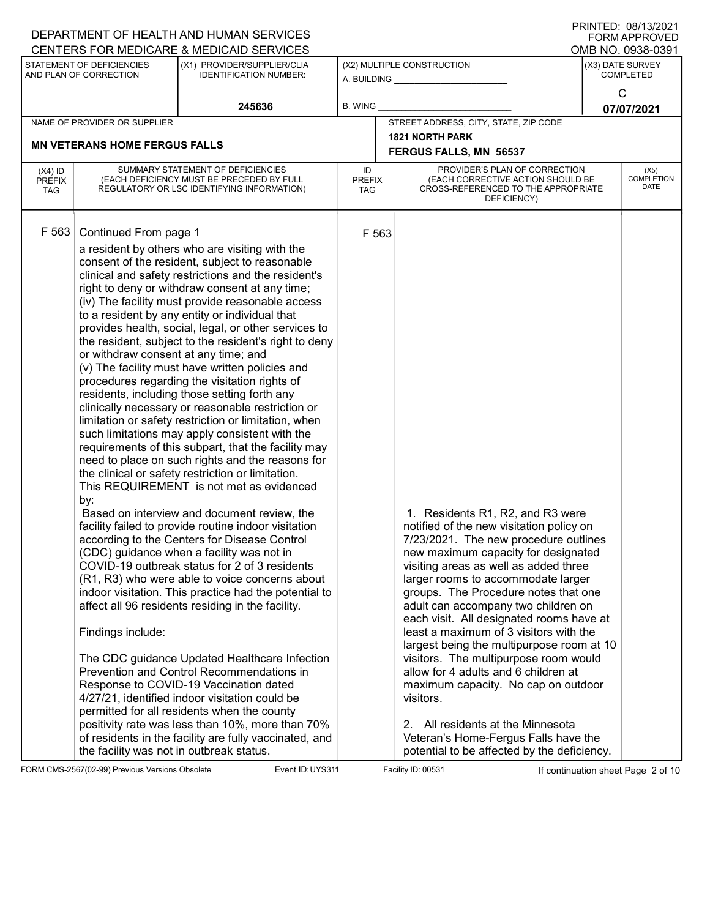|                                          |                                                                                                                                             | DEPARTMENT OF HEALTH AND HUMAN SERVICES                                                                                                                                                                                                                                                                                                                                                                                                                                                                                                                                                                                                                                                                                                                                                                                                                                                                                                                                                                                                                                                                                                                                                                                                                                                                                                                                                                                                                                                                                                                                                                                                                                                                                                     |                            |                                                                     |                                                                                                                                                                                                                                                                                                                                                                                                                                                                                                                                                                                                                                                                                                                                |                                      | <b>FORM APPROVED</b>              |
|------------------------------------------|---------------------------------------------------------------------------------------------------------------------------------------------|---------------------------------------------------------------------------------------------------------------------------------------------------------------------------------------------------------------------------------------------------------------------------------------------------------------------------------------------------------------------------------------------------------------------------------------------------------------------------------------------------------------------------------------------------------------------------------------------------------------------------------------------------------------------------------------------------------------------------------------------------------------------------------------------------------------------------------------------------------------------------------------------------------------------------------------------------------------------------------------------------------------------------------------------------------------------------------------------------------------------------------------------------------------------------------------------------------------------------------------------------------------------------------------------------------------------------------------------------------------------------------------------------------------------------------------------------------------------------------------------------------------------------------------------------------------------------------------------------------------------------------------------------------------------------------------------------------------------------------------------|----------------------------|---------------------------------------------------------------------|--------------------------------------------------------------------------------------------------------------------------------------------------------------------------------------------------------------------------------------------------------------------------------------------------------------------------------------------------------------------------------------------------------------------------------------------------------------------------------------------------------------------------------------------------------------------------------------------------------------------------------------------------------------------------------------------------------------------------------|--------------------------------------|-----------------------------------|
|                                          |                                                                                                                                             | CENTERS FOR MEDICARE & MEDICAID SERVICES                                                                                                                                                                                                                                                                                                                                                                                                                                                                                                                                                                                                                                                                                                                                                                                                                                                                                                                                                                                                                                                                                                                                                                                                                                                                                                                                                                                                                                                                                                                                                                                                                                                                                                    |                            |                                                                     |                                                                                                                                                                                                                                                                                                                                                                                                                                                                                                                                                                                                                                                                                                                                |                                      | OMB NO. 0938-0391                 |
|                                          | STATEMENT OF DEFICIENCIES<br>AND PLAN OF CORRECTION                                                                                         | (X1) PROVIDER/SUPPLIER/CLIA<br><b>IDENTIFICATION NUMBER:</b>                                                                                                                                                                                                                                                                                                                                                                                                                                                                                                                                                                                                                                                                                                                                                                                                                                                                                                                                                                                                                                                                                                                                                                                                                                                                                                                                                                                                                                                                                                                                                                                                                                                                                |                            | (X2) MULTIPLE CONSTRUCTION<br>A. BUILDING <u>__________________</u> |                                                                                                                                                                                                                                                                                                                                                                                                                                                                                                                                                                                                                                                                                                                                | (X3) DATE SURVEY<br><b>COMPLETED</b> |                                   |
|                                          |                                                                                                                                             | 245636                                                                                                                                                                                                                                                                                                                                                                                                                                                                                                                                                                                                                                                                                                                                                                                                                                                                                                                                                                                                                                                                                                                                                                                                                                                                                                                                                                                                                                                                                                                                                                                                                                                                                                                                      | <b>B. WING</b>             |                                                                     |                                                                                                                                                                                                                                                                                                                                                                                                                                                                                                                                                                                                                                                                                                                                |                                      | $\mathsf{C}$<br>07/07/2021        |
|                                          | NAME OF PROVIDER OR SUPPLIER                                                                                                                |                                                                                                                                                                                                                                                                                                                                                                                                                                                                                                                                                                                                                                                                                                                                                                                                                                                                                                                                                                                                                                                                                                                                                                                                                                                                                                                                                                                                                                                                                                                                                                                                                                                                                                                                             |                            |                                                                     | STREET ADDRESS, CITY, STATE, ZIP CODE                                                                                                                                                                                                                                                                                                                                                                                                                                                                                                                                                                                                                                                                                          |                                      |                                   |
|                                          | <b>MN VETERANS HOME FERGUS FALLS</b>                                                                                                        |                                                                                                                                                                                                                                                                                                                                                                                                                                                                                                                                                                                                                                                                                                                                                                                                                                                                                                                                                                                                                                                                                                                                                                                                                                                                                                                                                                                                                                                                                                                                                                                                                                                                                                                                             |                            |                                                                     | <b>1821 NORTH PARK</b><br>FERGUS FALLS, MN 56537                                                                                                                                                                                                                                                                                                                                                                                                                                                                                                                                                                                                                                                                               |                                      |                                   |
| $(X4)$ ID<br><b>PREFIX</b><br><b>TAG</b> |                                                                                                                                             | SUMMARY STATEMENT OF DEFICIENCIES<br>(EACH DEFICIENCY MUST BE PRECEDED BY FULL<br>REGULATORY OR LSC IDENTIFYING INFORMATION)                                                                                                                                                                                                                                                                                                                                                                                                                                                                                                                                                                                                                                                                                                                                                                                                                                                                                                                                                                                                                                                                                                                                                                                                                                                                                                                                                                                                                                                                                                                                                                                                                | ID<br><b>PREFIX</b><br>TAG |                                                                     | PROVIDER'S PLAN OF CORRECTION<br>(EACH CORRECTIVE ACTION SHOULD BE<br>CROSS-REFERENCED TO THE APPROPRIATE<br>DEFICIENCY)                                                                                                                                                                                                                                                                                                                                                                                                                                                                                                                                                                                                       |                                      | (X5)<br><b>COMPLETION</b><br>DATE |
|                                          | F 563 Continued From page 1<br>or withdraw consent at any time; and<br>by:<br>Findings include:<br>the facility was not in outbreak status. | a resident by others who are visiting with the<br>consent of the resident, subject to reasonable<br>clinical and safety restrictions and the resident's<br>right to deny or withdraw consent at any time;<br>(iv) The facility must provide reasonable access<br>to a resident by any entity or individual that<br>provides health, social, legal, or other services to<br>the resident, subject to the resident's right to deny<br>(v) The facility must have written policies and<br>procedures regarding the visitation rights of<br>residents, including those setting forth any<br>clinically necessary or reasonable restriction or<br>limitation or safety restriction or limitation, when<br>such limitations may apply consistent with the<br>requirements of this subpart, that the facility may<br>need to place on such rights and the reasons for<br>the clinical or safety restriction or limitation.<br>This REQUIREMENT is not met as evidenced<br>Based on interview and document review, the<br>facility failed to provide routine indoor visitation<br>according to the Centers for Disease Control<br>(CDC) guidance when a facility was not in<br>COVID-19 outbreak status for 2 of 3 residents<br>(R1, R3) who were able to voice concerns about<br>indoor visitation. This practice had the potential to<br>affect all 96 residents residing in the facility.<br>The CDC guidance Updated Healthcare Infection<br>Prevention and Control Recommendations in<br>Response to COVID-19 Vaccination dated<br>4/27/21, identified indoor visitation could be<br>permitted for all residents when the county<br>positivity rate was less than 10%, more than 70%<br>of residents in the facility are fully vaccinated, and | F 563                      |                                                                     | 1. Residents R1, R2, and R3 were<br>notified of the new visitation policy on<br>7/23/2021. The new procedure outlines<br>new maximum capacity for designated<br>visiting areas as well as added three<br>larger rooms to accommodate larger<br>groups. The Procedure notes that one<br>adult can accompany two children on<br>each visit. All designated rooms have at<br>least a maximum of 3 visitors with the<br>largest being the multipurpose room at 10<br>visitors. The multipurpose room would<br>allow for 4 adults and 6 children at<br>maximum capacity. No cap on outdoor<br>visitors.<br>2. All residents at the Minnesota<br>Veteran's Home-Fergus Falls have the<br>potential to be affected by the deficiency. |                                      |                                   |

FORM CMS-2567(02-99) Previous Versions Obsolete Event ID: UYS311 Facility ID: 00531 If continuation sheet Page 2 of 10

DEPARTMENT OF HEALTH AND HUMAN SERVICES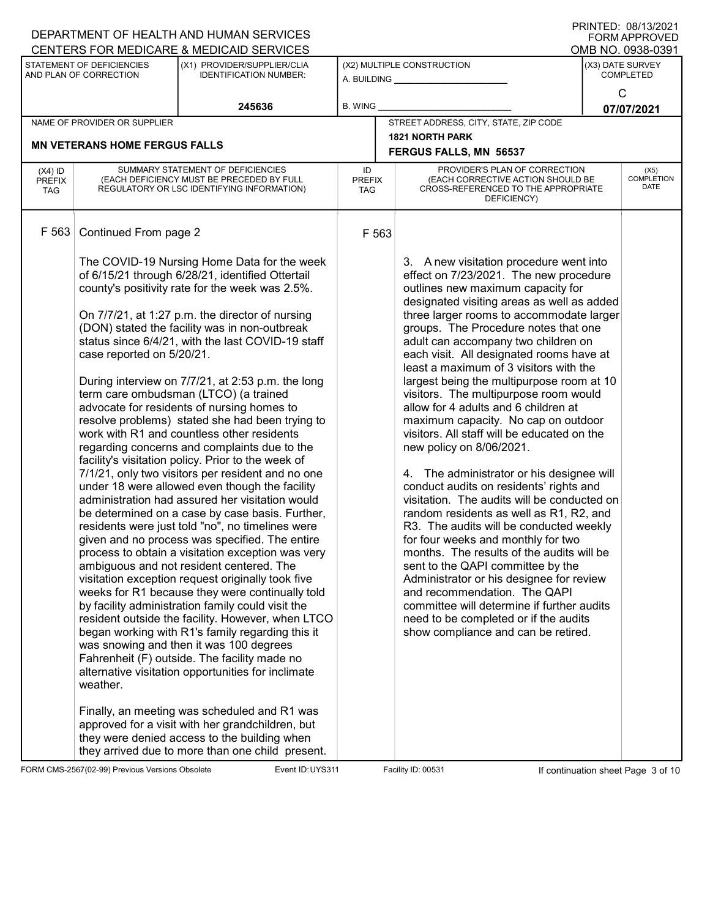| PRINTED: 08/13/2021<br>DEPARTMENT OF HEALTH AND HUMAN SERVICES<br><b>FORM APPROVED</b><br>CENTERS FOR MEDICARE & MEDICAID SERVICES<br>OMB NO. 0938-0391 |                                                            |                                                                                                                                                                                                                                                                                                                                                                                                                                                                                                                                                                                                                                                                                                                                                                                                                                                                                                                                                                                                                                                                                                                                                                                                                                                                                                                                                                                                                                                                                                                                                                                                                                                                                                                   |                                   |                                                                                                                                                                                                                                                                                                                                                                                                                                                                                                                                                                                                                                                                                                                                                                                                                                                                                                                                                                                                                                                                                                                                                                                                      |                                      |                              |  |  |
|---------------------------------------------------------------------------------------------------------------------------------------------------------|------------------------------------------------------------|-------------------------------------------------------------------------------------------------------------------------------------------------------------------------------------------------------------------------------------------------------------------------------------------------------------------------------------------------------------------------------------------------------------------------------------------------------------------------------------------------------------------------------------------------------------------------------------------------------------------------------------------------------------------------------------------------------------------------------------------------------------------------------------------------------------------------------------------------------------------------------------------------------------------------------------------------------------------------------------------------------------------------------------------------------------------------------------------------------------------------------------------------------------------------------------------------------------------------------------------------------------------------------------------------------------------------------------------------------------------------------------------------------------------------------------------------------------------------------------------------------------------------------------------------------------------------------------------------------------------------------------------------------------------------------------------------------------------|-----------------------------------|------------------------------------------------------------------------------------------------------------------------------------------------------------------------------------------------------------------------------------------------------------------------------------------------------------------------------------------------------------------------------------------------------------------------------------------------------------------------------------------------------------------------------------------------------------------------------------------------------------------------------------------------------------------------------------------------------------------------------------------------------------------------------------------------------------------------------------------------------------------------------------------------------------------------------------------------------------------------------------------------------------------------------------------------------------------------------------------------------------------------------------------------------------------------------------------------------|--------------------------------------|------------------------------|--|--|
|                                                                                                                                                         | <b>STATEMENT OF DEFICIENCIES</b><br>AND PLAN OF CORRECTION | (X1) PROVIDER/SUPPLIER/CLIA<br><b>IDENTIFICATION NUMBER:</b>                                                                                                                                                                                                                                                                                                                                                                                                                                                                                                                                                                                                                                                                                                                                                                                                                                                                                                                                                                                                                                                                                                                                                                                                                                                                                                                                                                                                                                                                                                                                                                                                                                                      |                                   | (X2) MULTIPLE CONSTRUCTION<br>A. BUILDING _________________                                                                                                                                                                                                                                                                                                                                                                                                                                                                                                                                                                                                                                                                                                                                                                                                                                                                                                                                                                                                                                                                                                                                          | (X3) DATE SURVEY<br><b>COMPLETED</b> |                              |  |  |
|                                                                                                                                                         |                                                            | 245636                                                                                                                                                                                                                                                                                                                                                                                                                                                                                                                                                                                                                                                                                                                                                                                                                                                                                                                                                                                                                                                                                                                                                                                                                                                                                                                                                                                                                                                                                                                                                                                                                                                                                                            | <b>B. WING</b>                    |                                                                                                                                                                                                                                                                                                                                                                                                                                                                                                                                                                                                                                                                                                                                                                                                                                                                                                                                                                                                                                                                                                                                                                                                      |                                      | $\mathsf{C}$<br>07/07/2021   |  |  |
|                                                                                                                                                         | NAME OF PROVIDER OR SUPPLIER                               |                                                                                                                                                                                                                                                                                                                                                                                                                                                                                                                                                                                                                                                                                                                                                                                                                                                                                                                                                                                                                                                                                                                                                                                                                                                                                                                                                                                                                                                                                                                                                                                                                                                                                                                   |                                   | STREET ADDRESS, CITY, STATE, ZIP CODE                                                                                                                                                                                                                                                                                                                                                                                                                                                                                                                                                                                                                                                                                                                                                                                                                                                                                                                                                                                                                                                                                                                                                                |                                      |                              |  |  |
|                                                                                                                                                         | <b>MN VETERANS HOME FERGUS FALLS</b>                       |                                                                                                                                                                                                                                                                                                                                                                                                                                                                                                                                                                                                                                                                                                                                                                                                                                                                                                                                                                                                                                                                                                                                                                                                                                                                                                                                                                                                                                                                                                                                                                                                                                                                                                                   |                                   | <b>1821 NORTH PARK</b><br>FERGUS FALLS, MN 56537                                                                                                                                                                                                                                                                                                                                                                                                                                                                                                                                                                                                                                                                                                                                                                                                                                                                                                                                                                                                                                                                                                                                                     |                                      |                              |  |  |
| $(X4)$ ID<br><b>PREFIX</b><br>TAG                                                                                                                       |                                                            | SUMMARY STATEMENT OF DEFICIENCIES<br>(EACH DEFICIENCY MUST BE PRECEDED BY FULL<br>REGULATORY OR LSC IDENTIFYING INFORMATION)                                                                                                                                                                                                                                                                                                                                                                                                                                                                                                                                                                                                                                                                                                                                                                                                                                                                                                                                                                                                                                                                                                                                                                                                                                                                                                                                                                                                                                                                                                                                                                                      | ID<br><b>PREFIX</b><br><b>TAG</b> | PROVIDER'S PLAN OF CORRECTION<br>(EACH CORRECTIVE ACTION SHOULD BE<br>CROSS-REFERENCED TO THE APPROPRIATE<br>DEFICIENCY)                                                                                                                                                                                                                                                                                                                                                                                                                                                                                                                                                                                                                                                                                                                                                                                                                                                                                                                                                                                                                                                                             |                                      | $(X5)$<br>COMPLETION<br>DATE |  |  |
| F 563                                                                                                                                                   | Continued From page 2                                      |                                                                                                                                                                                                                                                                                                                                                                                                                                                                                                                                                                                                                                                                                                                                                                                                                                                                                                                                                                                                                                                                                                                                                                                                                                                                                                                                                                                                                                                                                                                                                                                                                                                                                                                   | F 563                             |                                                                                                                                                                                                                                                                                                                                                                                                                                                                                                                                                                                                                                                                                                                                                                                                                                                                                                                                                                                                                                                                                                                                                                                                      |                                      |                              |  |  |
|                                                                                                                                                         | case reported on 5/20/21.<br>weather.                      | The COVID-19 Nursing Home Data for the week<br>of 6/15/21 through 6/28/21, identified Ottertail<br>county's positivity rate for the week was 2.5%.<br>On 7/7/21, at 1:27 p.m. the director of nursing<br>(DON) stated the facility was in non-outbreak<br>status since 6/4/21, with the last COVID-19 staff<br>During interview on 7/7/21, at 2:53 p.m. the long<br>term care ombudsman (LTCO) (a trained<br>advocate for residents of nursing homes to<br>resolve problems) stated she had been trying to<br>work with R1 and countless other residents<br>regarding concerns and complaints due to the<br>facility's visitation policy. Prior to the week of<br>7/1/21, only two visitors per resident and no one<br>under 18 were allowed even though the facility<br>administration had assured her visitation would<br>be determined on a case by case basis. Further,<br>residents were just told "no", no timelines were<br>given and no process was specified. The entire<br>process to obtain a visitation exception was very<br>ambiguous and not resident centered. The<br>visitation exception request originally took five<br>weeks for R1 because they were continually told<br>by facility administration family could visit the<br>resident outside the facility. However, when LTCO<br>began working with R1's family regarding this it<br>was snowing and then it was 100 degrees<br>Fahrenheit (F) outside. The facility made no<br>alternative visitation opportunities for inclimate<br>Finally, an meeting was scheduled and R1 was<br>approved for a visit with her grandchildren, but<br>they were denied access to the building when<br>they arrived due to more than one child present. |                                   | 3. A new visitation procedure went into<br>effect on 7/23/2021. The new procedure<br>outlines new maximum capacity for<br>designated visiting areas as well as added<br>three larger rooms to accommodate larger<br>groups. The Procedure notes that one<br>adult can accompany two children on<br>each visit. All designated rooms have at<br>least a maximum of 3 visitors with the<br>largest being the multipurpose room at 10<br>visitors. The multipurpose room would<br>allow for 4 adults and 6 children at<br>maximum capacity. No cap on outdoor<br>visitors. All staff will be educated on the<br>new policy on 8/06/2021.<br>4. The administrator or his designee will<br>conduct audits on residents' rights and<br>visitation. The audits will be conducted on<br>random residents as well as R1, R2, and<br>R3. The audits will be conducted weekly<br>for four weeks and monthly for two<br>months. The results of the audits will be<br>sent to the QAPI committee by the<br>Administrator or his designee for review<br>and recommendation. The QAPI<br>committee will determine if further audits<br>need to be completed or if the audits<br>show compliance and can be retired. |                                      |                              |  |  |

FORM CMS-2567(02-99) Previous Versions Obsolete Event ID: UYS311 Facility ID: 00531 If continuation sheet Page 3 of 10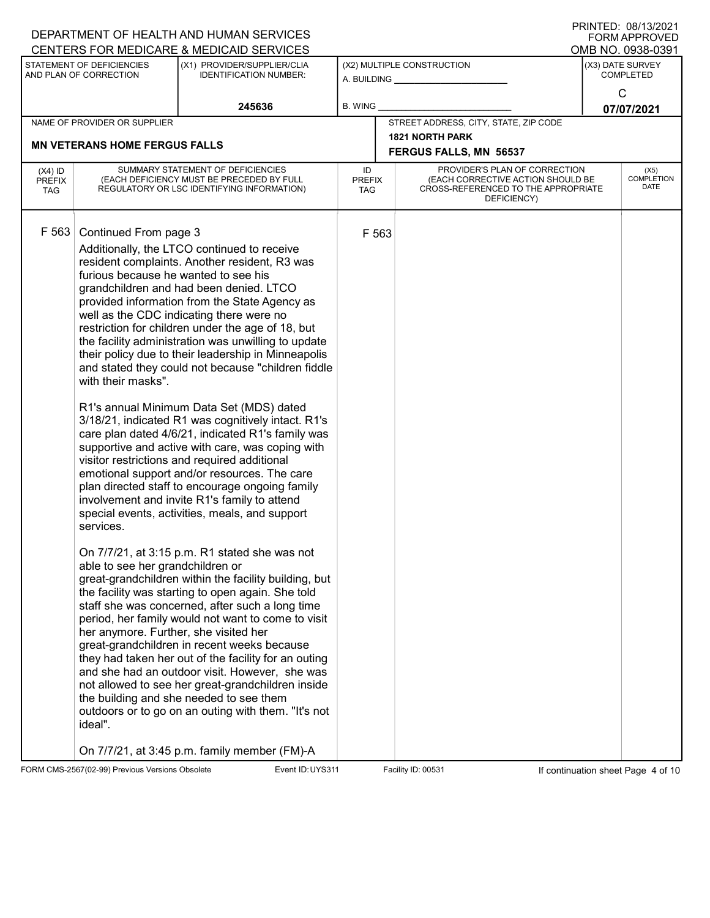|                                          |                                                                                                                                                                                          | DEPARTMENT OF HEALTH AND HUMAN SERVICES                                                                                                                                                                                                                                                                                                                                                                                                                                                                                                                                                                                                                                                                                                                                                                                                                                                                                                                                                                                                                                                                                                                                                                                                                                                                                                                                                                                                                                                                                                                               |                                   |       |                                                                                                                          | ו ועוויו בש. ישטו ויוויו<br><b>FORM APPROVED</b> |
|------------------------------------------|------------------------------------------------------------------------------------------------------------------------------------------------------------------------------------------|-----------------------------------------------------------------------------------------------------------------------------------------------------------------------------------------------------------------------------------------------------------------------------------------------------------------------------------------------------------------------------------------------------------------------------------------------------------------------------------------------------------------------------------------------------------------------------------------------------------------------------------------------------------------------------------------------------------------------------------------------------------------------------------------------------------------------------------------------------------------------------------------------------------------------------------------------------------------------------------------------------------------------------------------------------------------------------------------------------------------------------------------------------------------------------------------------------------------------------------------------------------------------------------------------------------------------------------------------------------------------------------------------------------------------------------------------------------------------------------------------------------------------------------------------------------------------|-----------------------------------|-------|--------------------------------------------------------------------------------------------------------------------------|--------------------------------------------------|
|                                          |                                                                                                                                                                                          | CENTERS FOR MEDICARE & MEDICAID SERVICES                                                                                                                                                                                                                                                                                                                                                                                                                                                                                                                                                                                                                                                                                                                                                                                                                                                                                                                                                                                                                                                                                                                                                                                                                                                                                                                                                                                                                                                                                                                              |                                   |       |                                                                                                                          | OMB NO. 0938-0391                                |
|                                          | STATEMENT OF DEFICIENCIES<br>AND PLAN OF CORRECTION                                                                                                                                      | (X1) PROVIDER/SUPPLIER/CLIA<br><b>IDENTIFICATION NUMBER:</b>                                                                                                                                                                                                                                                                                                                                                                                                                                                                                                                                                                                                                                                                                                                                                                                                                                                                                                                                                                                                                                                                                                                                                                                                                                                                                                                                                                                                                                                                                                          |                                   |       | (X2) MULTIPLE CONSTRUCTION<br>A. BUILDING                                                                                | (X3) DATE SURVEY<br><b>COMPLETED</b>             |
|                                          |                                                                                                                                                                                          | 245636                                                                                                                                                                                                                                                                                                                                                                                                                                                                                                                                                                                                                                                                                                                                                                                                                                                                                                                                                                                                                                                                                                                                                                                                                                                                                                                                                                                                                                                                                                                                                                | <b>B. WING</b>                    |       |                                                                                                                          | C<br>07/07/2021                                  |
|                                          | NAME OF PROVIDER OR SUPPLIER                                                                                                                                                             |                                                                                                                                                                                                                                                                                                                                                                                                                                                                                                                                                                                                                                                                                                                                                                                                                                                                                                                                                                                                                                                                                                                                                                                                                                                                                                                                                                                                                                                                                                                                                                       |                                   |       | STREET ADDRESS, CITY, STATE, ZIP CODE                                                                                    |                                                  |
|                                          | <b>MN VETERANS HOME FERGUS FALLS</b>                                                                                                                                                     |                                                                                                                                                                                                                                                                                                                                                                                                                                                                                                                                                                                                                                                                                                                                                                                                                                                                                                                                                                                                                                                                                                                                                                                                                                                                                                                                                                                                                                                                                                                                                                       |                                   |       | <b>1821 NORTH PARK</b>                                                                                                   |                                                  |
|                                          |                                                                                                                                                                                          |                                                                                                                                                                                                                                                                                                                                                                                                                                                                                                                                                                                                                                                                                                                                                                                                                                                                                                                                                                                                                                                                                                                                                                                                                                                                                                                                                                                                                                                                                                                                                                       |                                   |       | FERGUS FALLS, MN 56537                                                                                                   |                                                  |
| $(X4)$ ID<br><b>PREFIX</b><br><b>TAG</b> |                                                                                                                                                                                          | SUMMARY STATEMENT OF DEFICIENCIES<br>(EACH DEFICIENCY MUST BE PRECEDED BY FULL<br>REGULATORY OR LSC IDENTIFYING INFORMATION)                                                                                                                                                                                                                                                                                                                                                                                                                                                                                                                                                                                                                                                                                                                                                                                                                                                                                                                                                                                                                                                                                                                                                                                                                                                                                                                                                                                                                                          | ID<br><b>PREFIX</b><br><b>TAG</b> |       | PROVIDER'S PLAN OF CORRECTION<br>(EACH CORRECTIVE ACTION SHOULD BE<br>CROSS-REFERENCED TO THE APPROPRIATE<br>DEFICIENCY) | (X5)<br><b>COMPLETION</b><br>DATE                |
| F 563                                    | Continued From page 3<br>furious because he wanted to see his<br>with their masks".<br>services.<br>able to see her grandchildren or<br>her anymore. Further, she visited her<br>ideal". | Additionally, the LTCO continued to receive<br>resident complaints. Another resident, R3 was<br>grandchildren and had been denied. LTCO<br>provided information from the State Agency as<br>well as the CDC indicating there were no<br>restriction for children under the age of 18, but<br>the facility administration was unwilling to update<br>their policy due to their leadership in Minneapolis<br>and stated they could not because "children fiddle<br>R1's annual Minimum Data Set (MDS) dated<br>3/18/21, indicated R1 was cognitively intact. R1's<br>care plan dated 4/6/21, indicated R1's family was<br>supportive and active with care, was coping with<br>visitor restrictions and required additional<br>emotional support and/or resources. The care<br>plan directed staff to encourage ongoing family<br>involvement and invite R1's family to attend<br>special events, activities, meals, and support<br>On 7/7/21, at 3:15 p.m. R1 stated she was not<br>great-grandchildren within the facility building, but<br>the facility was starting to open again. She told<br>staff she was concerned, after such a long time<br>period, her family would not want to come to visit<br>great-grandchildren in recent weeks because<br>they had taken her out of the facility for an outing<br>and she had an outdoor visit. However, she was<br>not allowed to see her great-grandchildren inside<br>the building and she needed to see them<br>outdoors or to go on an outing with them. "It's not<br>On 7/7/21, at 3:45 p.m. family member (FM)-A |                                   | F 563 |                                                                                                                          |                                                  |
|                                          |                                                                                                                                                                                          |                                                                                                                                                                                                                                                                                                                                                                                                                                                                                                                                                                                                                                                                                                                                                                                                                                                                                                                                                                                                                                                                                                                                                                                                                                                                                                                                                                                                                                                                                                                                                                       |                                   |       |                                                                                                                          |                                                  |

FORM CMS-2567(02-99) Previous Versions Obsolete Event ID: UYS311 Facility ID: 00531 If continuation sheet Page 4 of 10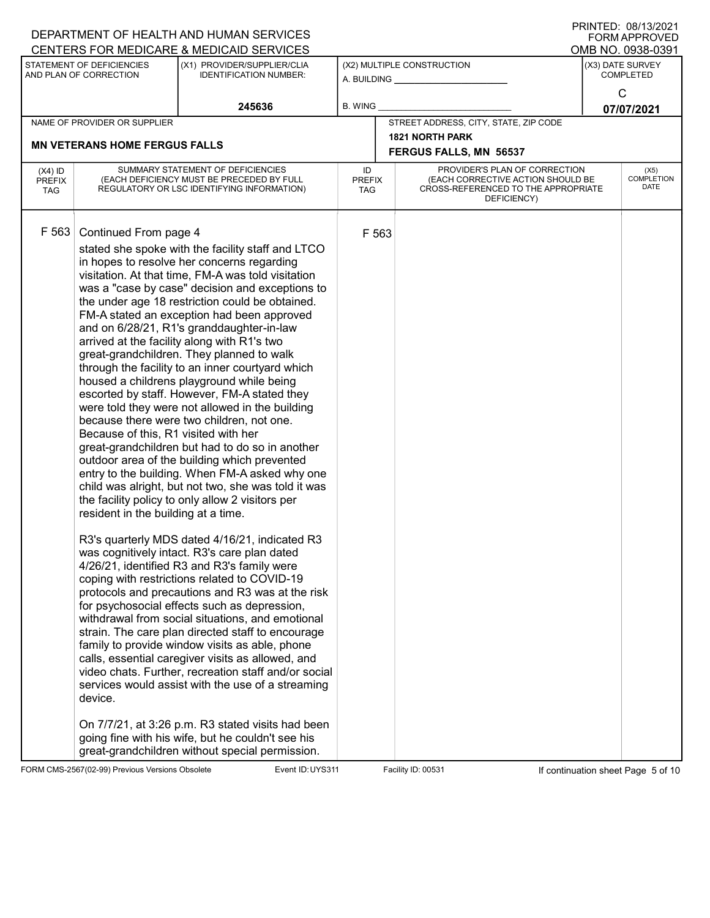|                                          |                                                                                                                 | DEPARTMENT OF HEALTH AND HUMAN SERVICES<br>CENTERS FOR MEDICARE & MEDICAID SERVICES                                                                                                                                                                                                                                                                                                                                                                                                                                                                                                                                                                                                                                                                                                                                                                                                                                                                                                                                                                                                                                                                                                                                                                                                                                                                                                                                                                                                                                                                                                                                                                                                                                                                                |                            |                                                                                                                          | ו ועוויו ביט. טשונטו ו<br><b>FORM APPROVED</b><br>OMB NO. 0938-0391 |
|------------------------------------------|-----------------------------------------------------------------------------------------------------------------|--------------------------------------------------------------------------------------------------------------------------------------------------------------------------------------------------------------------------------------------------------------------------------------------------------------------------------------------------------------------------------------------------------------------------------------------------------------------------------------------------------------------------------------------------------------------------------------------------------------------------------------------------------------------------------------------------------------------------------------------------------------------------------------------------------------------------------------------------------------------------------------------------------------------------------------------------------------------------------------------------------------------------------------------------------------------------------------------------------------------------------------------------------------------------------------------------------------------------------------------------------------------------------------------------------------------------------------------------------------------------------------------------------------------------------------------------------------------------------------------------------------------------------------------------------------------------------------------------------------------------------------------------------------------------------------------------------------------------------------------------------------------|----------------------------|--------------------------------------------------------------------------------------------------------------------------|---------------------------------------------------------------------|
|                                          | STATEMENT OF DEFICIENCIES<br>AND PLAN OF CORRECTION                                                             | (X1) PROVIDER/SUPPLIER/CLIA<br><b>IDENTIFICATION NUMBER:</b>                                                                                                                                                                                                                                                                                                                                                                                                                                                                                                                                                                                                                                                                                                                                                                                                                                                                                                                                                                                                                                                                                                                                                                                                                                                                                                                                                                                                                                                                                                                                                                                                                                                                                                       |                            | (X2) MULTIPLE CONSTRUCTION<br>A. BUILDING                                                                                | (X3) DATE SURVEY<br><b>COMPLETED</b>                                |
|                                          |                                                                                                                 | 245636                                                                                                                                                                                                                                                                                                                                                                                                                                                                                                                                                                                                                                                                                                                                                                                                                                                                                                                                                                                                                                                                                                                                                                                                                                                                                                                                                                                                                                                                                                                                                                                                                                                                                                                                                             | <b>B. WING</b>             |                                                                                                                          | $\mathsf{C}$<br>07/07/2021                                          |
|                                          | NAME OF PROVIDER OR SUPPLIER                                                                                    |                                                                                                                                                                                                                                                                                                                                                                                                                                                                                                                                                                                                                                                                                                                                                                                                                                                                                                                                                                                                                                                                                                                                                                                                                                                                                                                                                                                                                                                                                                                                                                                                                                                                                                                                                                    |                            | STREET ADDRESS, CITY, STATE, ZIP CODE                                                                                    |                                                                     |
|                                          | <b>MN VETERANS HOME FERGUS FALLS</b>                                                                            |                                                                                                                                                                                                                                                                                                                                                                                                                                                                                                                                                                                                                                                                                                                                                                                                                                                                                                                                                                                                                                                                                                                                                                                                                                                                                                                                                                                                                                                                                                                                                                                                                                                                                                                                                                    |                            | <b>1821 NORTH PARK</b><br>FERGUS FALLS, MN 56537                                                                         |                                                                     |
| $(X4)$ ID<br><b>PREFIX</b><br><b>TAG</b> |                                                                                                                 | SUMMARY STATEMENT OF DEFICIENCIES<br>(EACH DEFICIENCY MUST BE PRECEDED BY FULL<br>REGULATORY OR LSC IDENTIFYING INFORMATION)                                                                                                                                                                                                                                                                                                                                                                                                                                                                                                                                                                                                                                                                                                                                                                                                                                                                                                                                                                                                                                                                                                                                                                                                                                                                                                                                                                                                                                                                                                                                                                                                                                       | ID<br><b>PREFIX</b><br>TAG | PROVIDER'S PLAN OF CORRECTION<br>(EACH CORRECTIVE ACTION SHOULD BE<br>CROSS-REFERENCED TO THE APPROPRIATE<br>DEFICIENCY) | (X5)<br><b>COMPLETION</b><br>DATE                                   |
| F 563                                    | Continued From page 4<br>Because of this, R1 visited with her<br>resident in the building at a time.<br>device. | stated she spoke with the facility staff and LTCO<br>in hopes to resolve her concerns regarding<br>visitation. At that time, FM-A was told visitation<br>was a "case by case" decision and exceptions to<br>the under age 18 restriction could be obtained.<br>FM-A stated an exception had been approved<br>and on 6/28/21, R1's granddaughter-in-law<br>arrived at the facility along with R1's two<br>great-grandchildren. They planned to walk<br>through the facility to an inner courtyard which<br>housed a childrens playground while being<br>escorted by staff. However, FM-A stated they<br>were told they were not allowed in the building<br>because there were two children, not one.<br>great-grandchildren but had to do so in another<br>outdoor area of the building which prevented<br>entry to the building. When FM-A asked why one<br>child was alright, but not two, she was told it was<br>the facility policy to only allow 2 visitors per<br>R3's quarterly MDS dated 4/16/21, indicated R3<br>was cognitively intact. R3's care plan dated<br>4/26/21, identified R3 and R3's family were<br>coping with restrictions related to COVID-19<br>protocols and precautions and R3 was at the risk<br>for psychosocial effects such as depression,<br>withdrawal from social situations, and emotional<br>strain. The care plan directed staff to encourage<br>family to provide window visits as able, phone<br>calls, essential caregiver visits as allowed, and<br>video chats. Further, recreation staff and/or social<br>services would assist with the use of a streaming<br>On 7/7/21, at 3:26 p.m. R3 stated visits had been<br>going fine with his wife, but he couldn't see his<br>great-grandchildren without special permission. | F 563                      |                                                                                                                          |                                                                     |

FORM CMS-2567(02-99) Previous Versions Obsolete Event ID: UYS311 Facility ID: 00531 If continuation sheet Page 5 of 10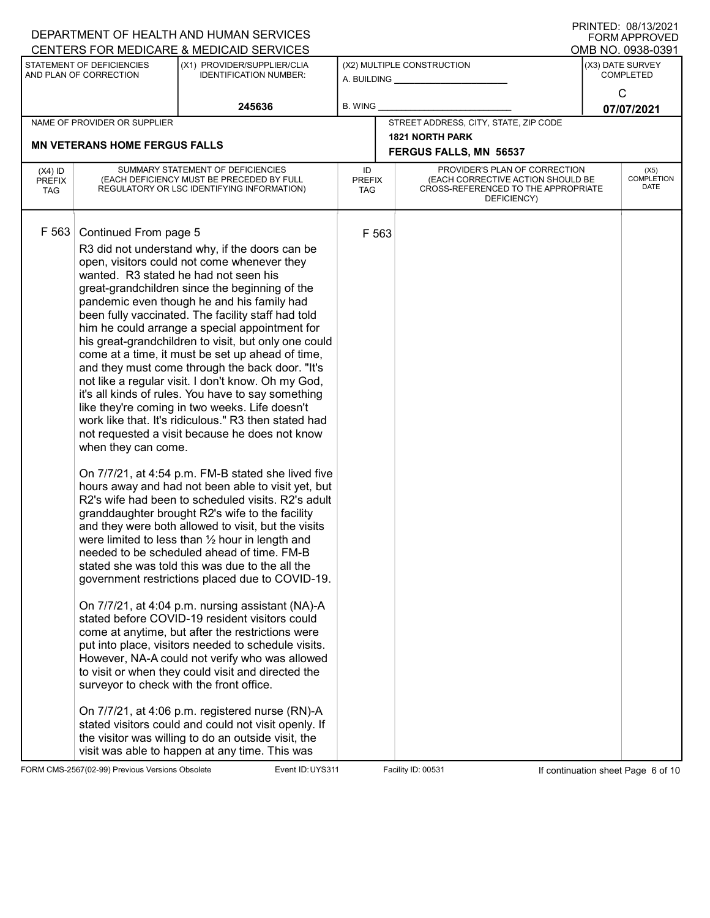|                                                       | DEPARTMENT OF HEALTH AND HUMAN SERVICES                                                                                                                                                                                                                                                                                                                                                                                                                                                                                                                                                                                                                                                                                                                                                                                                                                                                                                                                                                                                                                                                                                                                                                                                                                                                                                                                                                                                                                                                                                                                                                                                                                                                                                                                                                                                                                      |                            |                                                                                                                          | <b>FORM APPROVED</b>                 |
|-------------------------------------------------------|------------------------------------------------------------------------------------------------------------------------------------------------------------------------------------------------------------------------------------------------------------------------------------------------------------------------------------------------------------------------------------------------------------------------------------------------------------------------------------------------------------------------------------------------------------------------------------------------------------------------------------------------------------------------------------------------------------------------------------------------------------------------------------------------------------------------------------------------------------------------------------------------------------------------------------------------------------------------------------------------------------------------------------------------------------------------------------------------------------------------------------------------------------------------------------------------------------------------------------------------------------------------------------------------------------------------------------------------------------------------------------------------------------------------------------------------------------------------------------------------------------------------------------------------------------------------------------------------------------------------------------------------------------------------------------------------------------------------------------------------------------------------------------------------------------------------------------------------------------------------------|----------------------------|--------------------------------------------------------------------------------------------------------------------------|--------------------------------------|
|                                                       | CENTERS FOR MEDICARE & MEDICAID SERVICES                                                                                                                                                                                                                                                                                                                                                                                                                                                                                                                                                                                                                                                                                                                                                                                                                                                                                                                                                                                                                                                                                                                                                                                                                                                                                                                                                                                                                                                                                                                                                                                                                                                                                                                                                                                                                                     |                            |                                                                                                                          | OMB NO. 0938-0391                    |
| STATEMENT OF DEFICIENCIES<br>AND PLAN OF CORRECTION   | (X1) PROVIDER/SUPPLIER/CLIA<br><b>IDENTIFICATION NUMBER:</b>                                                                                                                                                                                                                                                                                                                                                                                                                                                                                                                                                                                                                                                                                                                                                                                                                                                                                                                                                                                                                                                                                                                                                                                                                                                                                                                                                                                                                                                                                                                                                                                                                                                                                                                                                                                                                 | A. BUILDING _              | (X2) MULTIPLE CONSTRUCTION                                                                                               | (X3) DATE SURVEY<br><b>COMPLETED</b> |
|                                                       | 245636                                                                                                                                                                                                                                                                                                                                                                                                                                                                                                                                                                                                                                                                                                                                                                                                                                                                                                                                                                                                                                                                                                                                                                                                                                                                                                                                                                                                                                                                                                                                                                                                                                                                                                                                                                                                                                                                       | <b>B. WING</b>             |                                                                                                                          | C<br>07/07/2021                      |
| NAME OF PROVIDER OR SUPPLIER                          |                                                                                                                                                                                                                                                                                                                                                                                                                                                                                                                                                                                                                                                                                                                                                                                                                                                                                                                                                                                                                                                                                                                                                                                                                                                                                                                                                                                                                                                                                                                                                                                                                                                                                                                                                                                                                                                                              |                            | STREET ADDRESS, CITY, STATE, ZIP CODE                                                                                    |                                      |
| <b>MN VETERANS HOME FERGUS FALLS</b>                  |                                                                                                                                                                                                                                                                                                                                                                                                                                                                                                                                                                                                                                                                                                                                                                                                                                                                                                                                                                                                                                                                                                                                                                                                                                                                                                                                                                                                                                                                                                                                                                                                                                                                                                                                                                                                                                                                              |                            | <b>1821 NORTH PARK</b><br>FERGUS FALLS, MN 56537                                                                         |                                      |
| $(X4)$ ID<br><b>PREFIX</b><br><b>TAG</b>              | SUMMARY STATEMENT OF DEFICIENCIES<br>(EACH DEFICIENCY MUST BE PRECEDED BY FULL<br>REGULATORY OR LSC IDENTIFYING INFORMATION)                                                                                                                                                                                                                                                                                                                                                                                                                                                                                                                                                                                                                                                                                                                                                                                                                                                                                                                                                                                                                                                                                                                                                                                                                                                                                                                                                                                                                                                                                                                                                                                                                                                                                                                                                 | ID<br><b>PREFIX</b><br>TAG | PROVIDER'S PLAN OF CORRECTION<br>(EACH CORRECTIVE ACTION SHOULD BE<br>CROSS-REFERENCED TO THE APPROPRIATE<br>DEFICIENCY) | (X5)<br><b>COMPLETION</b><br>DATE    |
| F 563<br>Continued From page 5<br>when they can come. | R3 did not understand why, if the doors can be<br>open, visitors could not come whenever they<br>wanted. R3 stated he had not seen his<br>great-grandchildren since the beginning of the<br>pandemic even though he and his family had<br>been fully vaccinated. The facility staff had told<br>him he could arrange a special appointment for<br>his great-grandchildren to visit, but only one could<br>come at a time, it must be set up ahead of time,<br>and they must come through the back door. "It's<br>not like a regular visit. I don't know. Oh my God,<br>it's all kinds of rules. You have to say something<br>like they're coming in two weeks. Life doesn't<br>work like that. It's ridiculous." R3 then stated had<br>not requested a visit because he does not know<br>On 7/7/21, at 4:54 p.m. FM-B stated she lived five<br>hours away and had not been able to visit yet, but<br>R2's wife had been to scheduled visits. R2's adult<br>granddaughter brought R2's wife to the facility<br>and they were both allowed to visit, but the visits<br>were limited to less than $\frac{1}{2}$ hour in length and<br>needed to be scheduled ahead of time. FM-B<br>stated she was told this was due to the all the<br>government restrictions placed due to COVID-19.<br>On 7/7/21, at 4:04 p.m. nursing assistant (NA)-A<br>stated before COVID-19 resident visitors could<br>come at anytime, but after the restrictions were<br>put into place, visitors needed to schedule visits.<br>However, NA-A could not verify who was allowed<br>to visit or when they could visit and directed the<br>surveyor to check with the front office.<br>On 7/7/21, at 4:06 p.m. registered nurse (RN)-A<br>stated visitors could and could not visit openly. If<br>the visitor was willing to do an outside visit, the<br>visit was able to happen at any time. This was | F 563                      |                                                                                                                          |                                      |

FORM CMS-2567(02-99) Previous Versions Obsolete Event ID: UYS311 Facility ID: 00531 If continuation sheet Page 6 of 10

DEPARTMENT OF HEALTH AND HUMAN SERVICES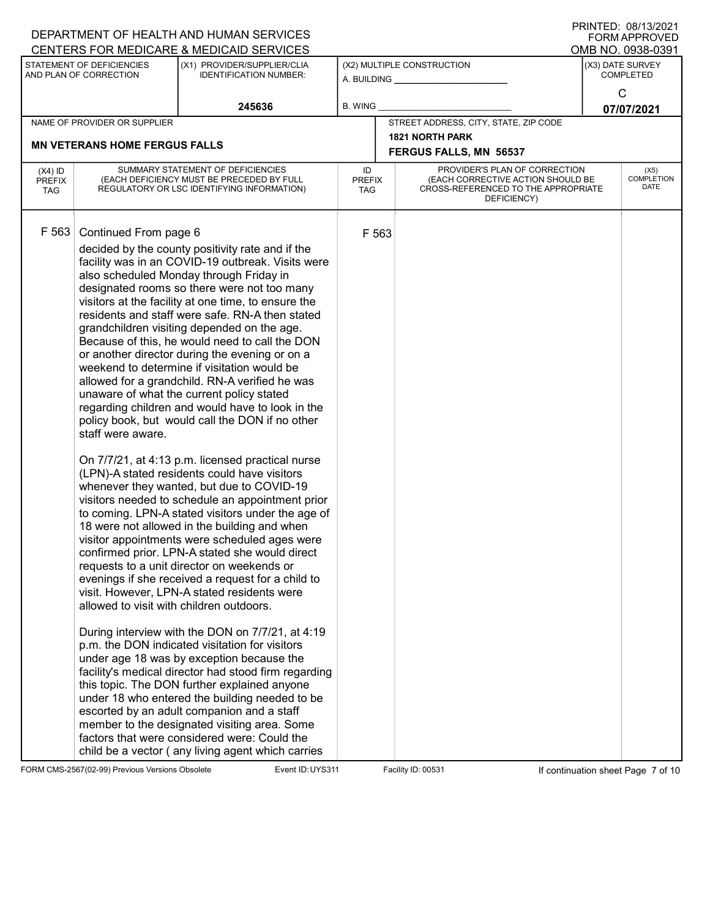|                                          |                                                                                        | DEPARTMENT OF HEALTH AND HUMAN SERVICES                                                                                                                                                                                                                                                                                                                                                                                                                                                                                                                                                                                                                                                                                                                                                                                                                                                                                                                                                                                                                                                                                                                                                                                                                                                                                                                                                                                                                                                                                                                                                                                                                                                                                                                                                          |                                   |       |                                                                                                                          | <b>I INTITLE</b> . VOI TUIZUZ I<br>FORM APPROVED |
|------------------------------------------|----------------------------------------------------------------------------------------|--------------------------------------------------------------------------------------------------------------------------------------------------------------------------------------------------------------------------------------------------------------------------------------------------------------------------------------------------------------------------------------------------------------------------------------------------------------------------------------------------------------------------------------------------------------------------------------------------------------------------------------------------------------------------------------------------------------------------------------------------------------------------------------------------------------------------------------------------------------------------------------------------------------------------------------------------------------------------------------------------------------------------------------------------------------------------------------------------------------------------------------------------------------------------------------------------------------------------------------------------------------------------------------------------------------------------------------------------------------------------------------------------------------------------------------------------------------------------------------------------------------------------------------------------------------------------------------------------------------------------------------------------------------------------------------------------------------------------------------------------------------------------------------------------|-----------------------------------|-------|--------------------------------------------------------------------------------------------------------------------------|--------------------------------------------------|
|                                          | STATEMENT OF DEFICIENCIES                                                              | CENTERS FOR MEDICARE & MEDICAID SERVICES<br>(X1) PROVIDER/SUPPLIER/CLIA                                                                                                                                                                                                                                                                                                                                                                                                                                                                                                                                                                                                                                                                                                                                                                                                                                                                                                                                                                                                                                                                                                                                                                                                                                                                                                                                                                                                                                                                                                                                                                                                                                                                                                                          |                                   |       | (X2) MULTIPLE CONSTRUCTION                                                                                               | OMB NO. 0938-0391<br>(X3) DATE SURVEY            |
|                                          | AND PLAN OF CORRECTION                                                                 | <b>IDENTIFICATION NUMBER:</b>                                                                                                                                                                                                                                                                                                                                                                                                                                                                                                                                                                                                                                                                                                                                                                                                                                                                                                                                                                                                                                                                                                                                                                                                                                                                                                                                                                                                                                                                                                                                                                                                                                                                                                                                                                    |                                   |       | A. BUILDING _________________                                                                                            | <b>COMPLETED</b>                                 |
|                                          |                                                                                        | 245636                                                                                                                                                                                                                                                                                                                                                                                                                                                                                                                                                                                                                                                                                                                                                                                                                                                                                                                                                                                                                                                                                                                                                                                                                                                                                                                                                                                                                                                                                                                                                                                                                                                                                                                                                                                           | <b>B. WING</b>                    |       |                                                                                                                          | C                                                |
|                                          | NAME OF PROVIDER OR SUPPLIER                                                           |                                                                                                                                                                                                                                                                                                                                                                                                                                                                                                                                                                                                                                                                                                                                                                                                                                                                                                                                                                                                                                                                                                                                                                                                                                                                                                                                                                                                                                                                                                                                                                                                                                                                                                                                                                                                  |                                   |       | STREET ADDRESS, CITY, STATE, ZIP CODE                                                                                    | 07/07/2021                                       |
|                                          |                                                                                        |                                                                                                                                                                                                                                                                                                                                                                                                                                                                                                                                                                                                                                                                                                                                                                                                                                                                                                                                                                                                                                                                                                                                                                                                                                                                                                                                                                                                                                                                                                                                                                                                                                                                                                                                                                                                  |                                   |       | <b>1821 NORTH PARK</b>                                                                                                   |                                                  |
|                                          | <b>MN VETERANS HOME FERGUS FALLS</b>                                                   |                                                                                                                                                                                                                                                                                                                                                                                                                                                                                                                                                                                                                                                                                                                                                                                                                                                                                                                                                                                                                                                                                                                                                                                                                                                                                                                                                                                                                                                                                                                                                                                                                                                                                                                                                                                                  |                                   |       | <b>FERGUS FALLS, MN 56537</b>                                                                                            |                                                  |
| $(X4)$ ID<br><b>PREFIX</b><br><b>TAG</b> |                                                                                        | SUMMARY STATEMENT OF DEFICIENCIES<br>(EACH DEFICIENCY MUST BE PRECEDED BY FULL<br>REGULATORY OR LSC IDENTIFYING INFORMATION)                                                                                                                                                                                                                                                                                                                                                                                                                                                                                                                                                                                                                                                                                                                                                                                                                                                                                                                                                                                                                                                                                                                                                                                                                                                                                                                                                                                                                                                                                                                                                                                                                                                                     | ID<br><b>PREFIX</b><br><b>TAG</b> |       | PROVIDER'S PLAN OF CORRECTION<br>(EACH CORRECTIVE ACTION SHOULD BE<br>CROSS-REFERENCED TO THE APPROPRIATE<br>DEFICIENCY) | (X5)<br><b>COMPLETION</b><br>DATE                |
| F 563                                    | Continued From page 6<br>staff were aware.<br>allowed to visit with children outdoors. | decided by the county positivity rate and if the<br>facility was in an COVID-19 outbreak. Visits were<br>also scheduled Monday through Friday in<br>designated rooms so there were not too many<br>visitors at the facility at one time, to ensure the<br>residents and staff were safe. RN-A then stated<br>grandchildren visiting depended on the age.<br>Because of this, he would need to call the DON<br>or another director during the evening or on a<br>weekend to determine if visitation would be<br>allowed for a grandchild. RN-A verified he was<br>unaware of what the current policy stated<br>regarding children and would have to look in the<br>policy book, but would call the DON if no other<br>On 7/7/21, at 4:13 p.m. licensed practical nurse<br>(LPN)-A stated residents could have visitors<br>whenever they wanted, but due to COVID-19<br>visitors needed to schedule an appointment prior<br>to coming. LPN-A stated visitors under the age of<br>18 were not allowed in the building and when<br>visitor appointments were scheduled ages were<br>confirmed prior. LPN-A stated she would direct<br>requests to a unit director on weekends or<br>evenings if she received a request for a child to<br>visit. However, LPN-A stated residents were<br>During interview with the DON on 7/7/21, at 4:19<br>p.m. the DON indicated visitation for visitors<br>under age 18 was by exception because the<br>facility's medical director had stood firm regarding<br>this topic. The DON further explained anyone<br>under 18 who entered the building needed to be<br>escorted by an adult companion and a staff<br>member to the designated visiting area. Some<br>factors that were considered were: Could the<br>child be a vector (any living agent which carries |                                   | F 563 |                                                                                                                          |                                                  |

FORM CMS-2567(02-99) Previous Versions Obsolete Event ID: UYS311 Facility ID: 00531 If continuation sheet Page 7 of 10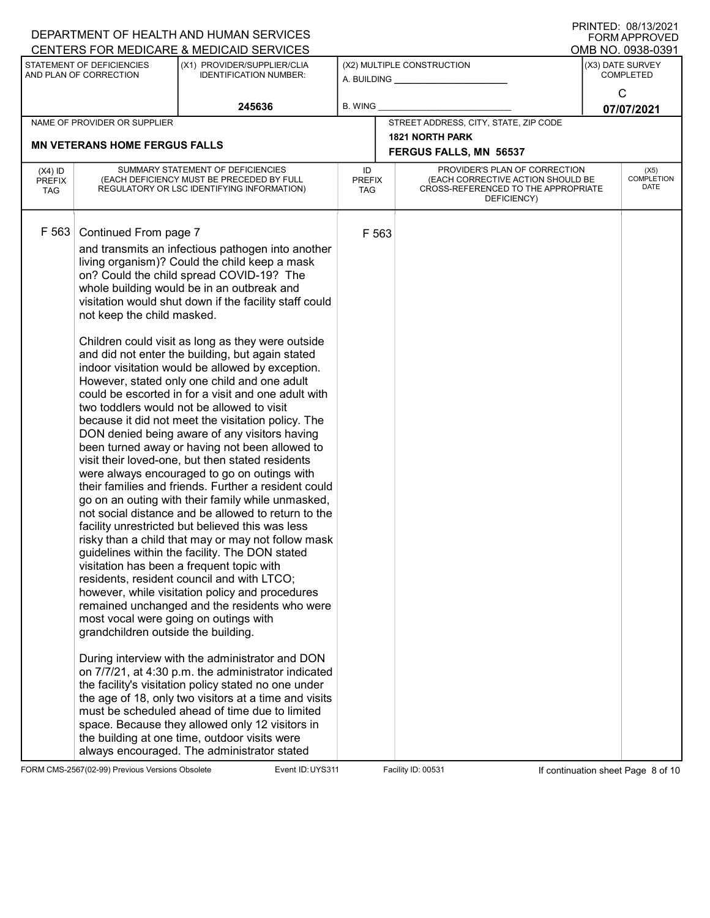|                                          |                                                                                                                                     | DEPARTMENT OF HEALTH AND HUMAN SERVICES                                                                                                                                                                                                                                                                                                                                                                                                                                                                                                                                                                                                                                                                                                                                                                                                                                                                                                                                                                                                                                                                                                                                                                                                                                                                                                                                                                                                                                                                                                                                                                                                                                                                                                                                                              |                            |                                                                                                                          | <b>FORM APPROVED</b>                 |
|------------------------------------------|-------------------------------------------------------------------------------------------------------------------------------------|------------------------------------------------------------------------------------------------------------------------------------------------------------------------------------------------------------------------------------------------------------------------------------------------------------------------------------------------------------------------------------------------------------------------------------------------------------------------------------------------------------------------------------------------------------------------------------------------------------------------------------------------------------------------------------------------------------------------------------------------------------------------------------------------------------------------------------------------------------------------------------------------------------------------------------------------------------------------------------------------------------------------------------------------------------------------------------------------------------------------------------------------------------------------------------------------------------------------------------------------------------------------------------------------------------------------------------------------------------------------------------------------------------------------------------------------------------------------------------------------------------------------------------------------------------------------------------------------------------------------------------------------------------------------------------------------------------------------------------------------------------------------------------------------------|----------------------------|--------------------------------------------------------------------------------------------------------------------------|--------------------------------------|
|                                          |                                                                                                                                     | CENTERS FOR MEDICARE & MEDICAID SERVICES                                                                                                                                                                                                                                                                                                                                                                                                                                                                                                                                                                                                                                                                                                                                                                                                                                                                                                                                                                                                                                                                                                                                                                                                                                                                                                                                                                                                                                                                                                                                                                                                                                                                                                                                                             |                            |                                                                                                                          | OMB NO. 0938-0391                    |
|                                          | STATEMENT OF DEFICIENCIES<br>AND PLAN OF CORRECTION                                                                                 | (X1) PROVIDER/SUPPLIER/CLIA<br><b>IDENTIFICATION NUMBER:</b>                                                                                                                                                                                                                                                                                                                                                                                                                                                                                                                                                                                                                                                                                                                                                                                                                                                                                                                                                                                                                                                                                                                                                                                                                                                                                                                                                                                                                                                                                                                                                                                                                                                                                                                                         |                            | (X2) MULTIPLE CONSTRUCTION<br>A. BUILDING <u>_________________</u>                                                       | (X3) DATE SURVEY<br><b>COMPLETED</b> |
|                                          |                                                                                                                                     | 245636                                                                                                                                                                                                                                                                                                                                                                                                                                                                                                                                                                                                                                                                                                                                                                                                                                                                                                                                                                                                                                                                                                                                                                                                                                                                                                                                                                                                                                                                                                                                                                                                                                                                                                                                                                                               | <b>B. WING</b>             |                                                                                                                          | $\mathsf{C}$<br>07/07/2021           |
|                                          | NAME OF PROVIDER OR SUPPLIER                                                                                                        |                                                                                                                                                                                                                                                                                                                                                                                                                                                                                                                                                                                                                                                                                                                                                                                                                                                                                                                                                                                                                                                                                                                                                                                                                                                                                                                                                                                                                                                                                                                                                                                                                                                                                                                                                                                                      |                            | STREET ADDRESS, CITY, STATE, ZIP CODE                                                                                    |                                      |
|                                          | <b>MN VETERANS HOME FERGUS FALLS</b>                                                                                                |                                                                                                                                                                                                                                                                                                                                                                                                                                                                                                                                                                                                                                                                                                                                                                                                                                                                                                                                                                                                                                                                                                                                                                                                                                                                                                                                                                                                                                                                                                                                                                                                                                                                                                                                                                                                      |                            | <b>1821 NORTH PARK</b><br>FERGUS FALLS, MN 56537                                                                         |                                      |
| $(X4)$ ID<br><b>PREFIX</b><br><b>TAG</b> |                                                                                                                                     | SUMMARY STATEMENT OF DEFICIENCIES<br>(EACH DEFICIENCY MUST BE PRECEDED BY FULL<br>REGULATORY OR LSC IDENTIFYING INFORMATION)                                                                                                                                                                                                                                                                                                                                                                                                                                                                                                                                                                                                                                                                                                                                                                                                                                                                                                                                                                                                                                                                                                                                                                                                                                                                                                                                                                                                                                                                                                                                                                                                                                                                         | ID<br><b>PREFIX</b><br>TAG | PROVIDER'S PLAN OF CORRECTION<br>(EACH CORRECTIVE ACTION SHOULD BE<br>CROSS-REFERENCED TO THE APPROPRIATE<br>DEFICIENCY) | (X5)<br><b>COMPLETION</b><br>DATE    |
| F 563                                    | Continued From page 7<br>not keep the child masked.<br>most vocal were going on outings with<br>grandchildren outside the building. | and transmits an infectious pathogen into another<br>living organism)? Could the child keep a mask<br>on? Could the child spread COVID-19? The<br>whole building would be in an outbreak and<br>visitation would shut down if the facility staff could<br>Children could visit as long as they were outside<br>and did not enter the building, but again stated<br>indoor visitation would be allowed by exception.<br>However, stated only one child and one adult<br>could be escorted in for a visit and one adult with<br>two toddlers would not be allowed to visit<br>because it did not meet the visitation policy. The<br>DON denied being aware of any visitors having<br>been turned away or having not been allowed to<br>visit their loved-one, but then stated residents<br>were always encouraged to go on outings with<br>their families and friends. Further a resident could<br>go on an outing with their family while unmasked,<br>not social distance and be allowed to return to the<br>facility unrestricted but believed this was less<br>risky than a child that may or may not follow mask<br>guidelines within the facility. The DON stated<br>visitation has been a frequent topic with<br>residents, resident council and with LTCO;<br>however, while visitation policy and procedures<br>remained unchanged and the residents who were<br>During interview with the administrator and DON<br>on 7/7/21, at 4:30 p.m. the administrator indicated<br>the facility's visitation policy stated no one under<br>the age of 18, only two visitors at a time and visits<br>must be scheduled ahead of time due to limited<br>space. Because they allowed only 12 visitors in<br>the building at one time, outdoor visits were<br>always encouraged. The administrator stated | F 563                      |                                                                                                                          |                                      |

FORM CMS-2567(02-99) Previous Versions Obsolete Event ID: UYS311 Facility ID: 00531 If continuation sheet Page 8 of 10

DEPARTMENT OF HEALTH AND HUMAN SERVICES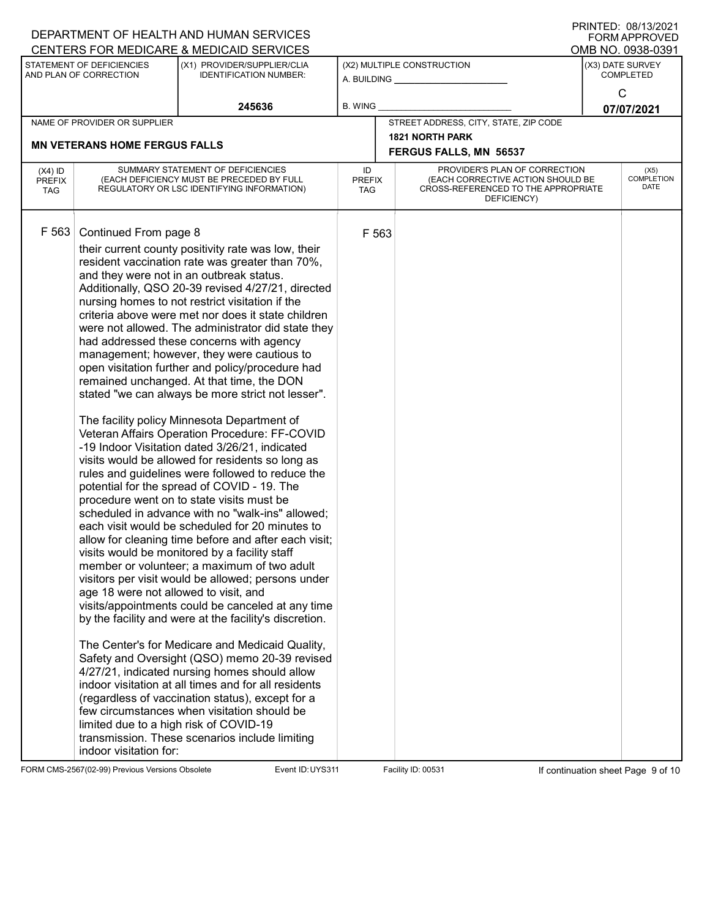|                                          |                                                                                                                                    | DEPARTMENT OF HEALTH AND HUMAN SERVICES<br>CENTERS FOR MEDICARE & MEDICAID SERVICES                                                                                                                                                                                                                                                                                                                                                                                                                                                                                                                                                                                                                                                                                                                                                                                                                                                                                                                                                                                                                                                                                                                                                                                                                                                                                                                                                                                                                                                                                                                                                                                                                                                                                                |                            |                                                                                                                          |                                      | ו ועוויו בש. ישטו ויוויו<br><b>FORM APPROVED</b><br>OMB NO. 0938-0391 |
|------------------------------------------|------------------------------------------------------------------------------------------------------------------------------------|------------------------------------------------------------------------------------------------------------------------------------------------------------------------------------------------------------------------------------------------------------------------------------------------------------------------------------------------------------------------------------------------------------------------------------------------------------------------------------------------------------------------------------------------------------------------------------------------------------------------------------------------------------------------------------------------------------------------------------------------------------------------------------------------------------------------------------------------------------------------------------------------------------------------------------------------------------------------------------------------------------------------------------------------------------------------------------------------------------------------------------------------------------------------------------------------------------------------------------------------------------------------------------------------------------------------------------------------------------------------------------------------------------------------------------------------------------------------------------------------------------------------------------------------------------------------------------------------------------------------------------------------------------------------------------------------------------------------------------------------------------------------------------|----------------------------|--------------------------------------------------------------------------------------------------------------------------|--------------------------------------|-----------------------------------------------------------------------|
|                                          | STATEMENT OF DEFICIENCIES<br>AND PLAN OF CORRECTION                                                                                | (X1) PROVIDER/SUPPLIER/CLIA<br><b>IDENTIFICATION NUMBER:</b>                                                                                                                                                                                                                                                                                                                                                                                                                                                                                                                                                                                                                                                                                                                                                                                                                                                                                                                                                                                                                                                                                                                                                                                                                                                                                                                                                                                                                                                                                                                                                                                                                                                                                                                       |                            | (X2) MULTIPLE CONSTRUCTION<br>A. BUILDING                                                                                | (X3) DATE SURVEY<br><b>COMPLETED</b> |                                                                       |
|                                          |                                                                                                                                    | 245636                                                                                                                                                                                                                                                                                                                                                                                                                                                                                                                                                                                                                                                                                                                                                                                                                                                                                                                                                                                                                                                                                                                                                                                                                                                                                                                                                                                                                                                                                                                                                                                                                                                                                                                                                                             | <b>B. WING</b>             |                                                                                                                          |                                      | $\mathsf{C}$<br>07/07/2021                                            |
|                                          | NAME OF PROVIDER OR SUPPLIER                                                                                                       |                                                                                                                                                                                                                                                                                                                                                                                                                                                                                                                                                                                                                                                                                                                                                                                                                                                                                                                                                                                                                                                                                                                                                                                                                                                                                                                                                                                                                                                                                                                                                                                                                                                                                                                                                                                    |                            | STREET ADDRESS, CITY, STATE, ZIP CODE                                                                                    |                                      |                                                                       |
|                                          | <b>MN VETERANS HOME FERGUS FALLS</b>                                                                                               |                                                                                                                                                                                                                                                                                                                                                                                                                                                                                                                                                                                                                                                                                                                                                                                                                                                                                                                                                                                                                                                                                                                                                                                                                                                                                                                                                                                                                                                                                                                                                                                                                                                                                                                                                                                    |                            | <b>1821 NORTH PARK</b><br><b>FERGUS FALLS, MN 56537</b>                                                                  |                                      |                                                                       |
| $(X4)$ ID<br><b>PREFIX</b><br><b>TAG</b> |                                                                                                                                    | SUMMARY STATEMENT OF DEFICIENCIES<br>(EACH DEFICIENCY MUST BE PRECEDED BY FULL<br>REGULATORY OR LSC IDENTIFYING INFORMATION)                                                                                                                                                                                                                                                                                                                                                                                                                                                                                                                                                                                                                                                                                                                                                                                                                                                                                                                                                                                                                                                                                                                                                                                                                                                                                                                                                                                                                                                                                                                                                                                                                                                       | ID<br><b>PREFIX</b><br>TAG | PROVIDER'S PLAN OF CORRECTION<br>(EACH CORRECTIVE ACTION SHOULD BE<br>CROSS-REFERENCED TO THE APPROPRIATE<br>DEFICIENCY) |                                      | (X5)<br><b>COMPLETION</b><br>DATE                                     |
| F 563                                    | Continued From page 8<br>age 18 were not allowed to visit, and<br>limited due to a high risk of COVID-19<br>indoor visitation for: | their current county positivity rate was low, their<br>resident vaccination rate was greater than 70%,<br>and they were not in an outbreak status.<br>Additionally, QSO 20-39 revised 4/27/21, directed<br>nursing homes to not restrict visitation if the<br>criteria above were met nor does it state children<br>were not allowed. The administrator did state they<br>had addressed these concerns with agency<br>management; however, they were cautious to<br>open visitation further and policy/procedure had<br>remained unchanged. At that time, the DON<br>stated "we can always be more strict not lesser".<br>The facility policy Minnesota Department of<br>Veteran Affairs Operation Procedure: FF-COVID<br>-19 Indoor Visitation dated 3/26/21, indicated<br>visits would be allowed for residents so long as<br>rules and guidelines were followed to reduce the<br>potential for the spread of COVID - 19. The<br>procedure went on to state visits must be<br>scheduled in advance with no "walk-ins" allowed;<br>each visit would be scheduled for 20 minutes to<br>allow for cleaning time before and after each visit;<br>visits would be monitored by a facility staff<br>member or volunteer; a maximum of two adult<br>visitors per visit would be allowed; persons under<br>visits/appointments could be canceled at any time<br>by the facility and were at the facility's discretion.<br>The Center's for Medicare and Medicaid Quality,<br>Safety and Oversight (QSO) memo 20-39 revised<br>4/27/21, indicated nursing homes should allow<br>indoor visitation at all times and for all residents<br>(regardless of vaccination status), except for a<br>few circumstances when visitation should be<br>transmission. These scenarios include limiting | F 563                      |                                                                                                                          |                                      |                                                                       |

FORM CMS-2567(02-99) Previous Versions Obsolete Event ID: UYS311 Facility ID: 00531 If continuation sheet Page 9 of 10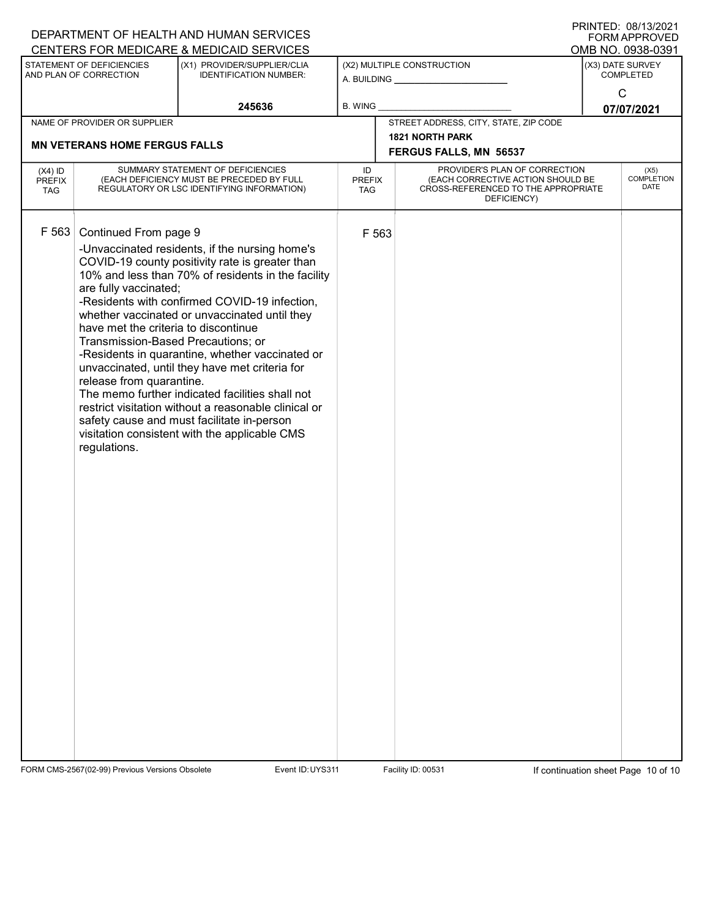|                                          |                                                                                                                                                                          | DEPARTMENT OF HEALTH AND HUMAN SERVICES                                                                                                                                                                                                                                                                                                                                                                                                                                                                                                                                  |                                   |       |                                                                                                                          | FORM APPROVED                     |
|------------------------------------------|--------------------------------------------------------------------------------------------------------------------------------------------------------------------------|--------------------------------------------------------------------------------------------------------------------------------------------------------------------------------------------------------------------------------------------------------------------------------------------------------------------------------------------------------------------------------------------------------------------------------------------------------------------------------------------------------------------------------------------------------------------------|-----------------------------------|-------|--------------------------------------------------------------------------------------------------------------------------|-----------------------------------|
|                                          |                                                                                                                                                                          | CENTERS FOR MEDICARE & MEDICAID SERVICES                                                                                                                                                                                                                                                                                                                                                                                                                                                                                                                                 |                                   |       |                                                                                                                          | OMB NO. 0938-0391                 |
|                                          | STATEMENT OF DEFICIENCIES<br>AND PLAN OF CORRECTION                                                                                                                      | (X1) PROVIDER/SUPPLIER/CLIA<br><b>IDENTIFICATION NUMBER:</b>                                                                                                                                                                                                                                                                                                                                                                                                                                                                                                             |                                   |       | (X2) MULTIPLE CONSTRUCTION<br>A. BUILDING <u>_________________</u>                                                       | (X3) DATE SURVEY<br>COMPLETED     |
|                                          |                                                                                                                                                                          | 245636                                                                                                                                                                                                                                                                                                                                                                                                                                                                                                                                                                   | <b>B. WING</b>                    |       |                                                                                                                          | $\mathsf{C}$<br>07/07/2021        |
|                                          | NAME OF PROVIDER OR SUPPLIER                                                                                                                                             |                                                                                                                                                                                                                                                                                                                                                                                                                                                                                                                                                                          |                                   |       | STREET ADDRESS, CITY, STATE, ZIP CODE                                                                                    |                                   |
|                                          | <b>MN VETERANS HOME FERGUS FALLS</b>                                                                                                                                     |                                                                                                                                                                                                                                                                                                                                                                                                                                                                                                                                                                          |                                   |       | 1821 NORTH PARK                                                                                                          |                                   |
|                                          |                                                                                                                                                                          |                                                                                                                                                                                                                                                                                                                                                                                                                                                                                                                                                                          |                                   |       | FERGUS FALLS, MN 56537                                                                                                   |                                   |
| $(X4)$ ID<br><b>PREFIX</b><br><b>TAG</b> |                                                                                                                                                                          | SUMMARY STATEMENT OF DEFICIENCIES<br>(EACH DEFICIENCY MUST BE PRECEDED BY FULL<br>REGULATORY OR LSC IDENTIFYING INFORMATION)                                                                                                                                                                                                                                                                                                                                                                                                                                             | ID<br><b>PREFIX</b><br><b>TAG</b> |       | PROVIDER'S PLAN OF CORRECTION<br>(EACH CORRECTIVE ACTION SHOULD BE<br>CROSS-REFERENCED TO THE APPROPRIATE<br>DEFICIENCY) | (X5)<br><b>COMPLETION</b><br>DATE |
| F 563                                    | Continued From page 9<br>are fully vaccinated;<br>have met the criteria to discontinue<br>Transmission-Based Precautions; or<br>release from quarantine.<br>regulations. | -Unvaccinated residents, if the nursing home's<br>COVID-19 county positivity rate is greater than<br>10% and less than 70% of residents in the facility<br>-Residents with confirmed COVID-19 infection,<br>whether vaccinated or unvaccinated until they<br>-Residents in quarantine, whether vaccinated or<br>unvaccinated, until they have met criteria for<br>The memo further indicated facilities shall not<br>restrict visitation without a reasonable clinical or<br>safety cause and must facilitate in-person<br>visitation consistent with the applicable CMS |                                   | F 563 |                                                                                                                          |                                   |

FORM CMS-2567(02-99) Previous Versions Obsolete Event ID: UYS311 Facility ID: 00531 If continuation sheet Page 10 of 10

DEPARTMENT OF HEALTH AND HUMAN SERVICES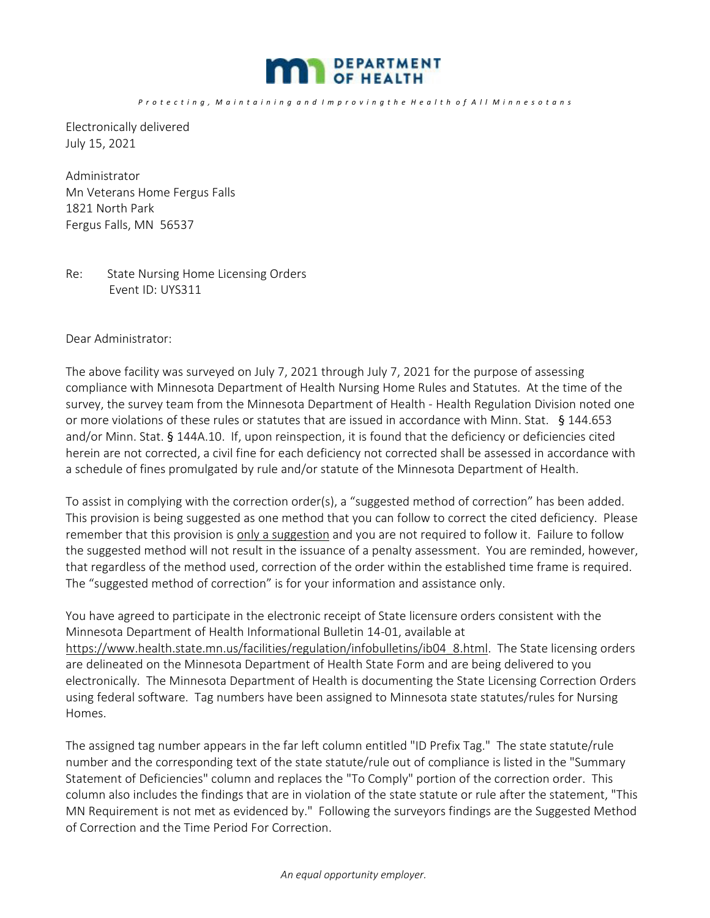

*P r o t e c t i n g , M a i n t a i n i n g a n d I m p r o v i n g t h e H e a l t h o f A l l M i n n e s o t a n s* 

Electronically delivered July 15, 2021

Administrator Mn Veterans Home Fergus Falls 1821 North Park Fergus Falls, MN 56537

### Re: State Nursing Home Licensing Orders Event ID: UYS311

Dear Administrator:

The above facility was surveyed on July 7, 2021 through July 7, 2021 for the purpose of assessing compliance with Minnesota Department of Health Nursing Home Rules and Statutes. At the time of the survey, the survey team from the Minnesota Department of Health - Health Regulation Division noted one or more violations of these rules or statutes that are issued in accordance with Minn. Stat. § 144.653 and/or Minn. Stat. § 144A.10. If, upon reinspection, it is found that the deficiency or deficiencies cited herein are not corrected, a civil fine for each deficiency not corrected shall be assessed in accordance with a schedule of fines promulgated by rule and/or statute of the Minnesota Department of Health.

To assist in complying with the correction order(s), a "suggested method of correction" has been added. This provision is being suggested as one method that you can follow to correct the cited deficiency. Please remember that this provision is only a suggestion and you are not required to follow it. Failure to follow the suggested method will not result in the issuance of a penalty assessment. You are reminded, however, that regardless of the method used, correction of the order within the established time frame is required. The "suggested method of correction" is for your information and assistance only.

You have agreed to participate in the electronic receipt of State licensure orders consistent with the Minnesota Department of Health Informational Bulletin 14-01, available at https://www.health.state.mn.us/facilities/regulation/infobulletins/ib04\_8.html. The State licensing orders are delineated on the Minnesota Department of Health State Form and are being delivered to you electronically. The Minnesota Department of Health is documenting the State Licensing Correction Orders using federal software. Tag numbers have been assigned to Minnesota state statutes/rules for Nursing Homes.

The assigned tag number appears in the far left column entitled "ID Prefix Tag." The state statute/rule number and the corresponding text of the state statute/rule out of compliance is listed in the "Summary Statement of Deficiencies" column and replaces the "To Comply" portion of the correction order. This column also includes the findings that are in violation of the state statute or rule after the statement, "This MN Requirement is not met as evidenced by." Following the surveyors findings are the Suggested Method of Correction and the Time Period For Correction.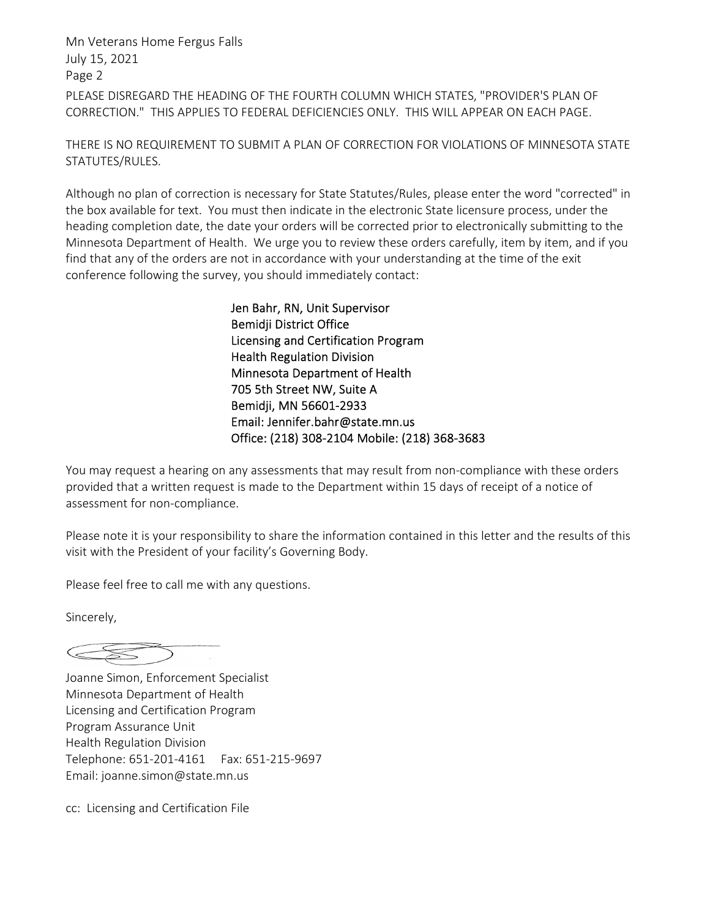# PLEASE DISREGARD THE HEADING OF THE FOURTH COLUMN WHICH STATES, "PROVIDER'S PLAN OF CORRECTION." THIS APPLIES TO FEDERAL DEFICIENCIES ONLY. THIS WILL APPEAR ON EACH PAGE. Mn Veterans Home Fergus Falls July 15, 2021 Page 2

THERE IS NO REQUIREMENT TO SUBMIT A PLAN OF CORRECTION FOR VIOLATIONS OF MINNESOTA STATE STATUTES/RULES.

Although no plan of correction is necessary for State Statutes/Rules, please enter the word "corrected" in the box available for text. You must then indicate in the electronic State licensure process, under the heading completion date, the date your orders will be corrected prior to electronically submitting to the Minnesota Department of Health. We urge you to review these orders carefully, item by item, and if you find that any of the orders are not in accordance with your understanding at the time of the exit conference following the survey, you should immediately contact:

> Jen Bahr, RN, Unit Supervisor Bemidji District Office Licensing and Certification Program Health Regulation Division Minnesota Department of Health 705 5th Street NW, Suite A Bemidji, MN 56601-2933 Email: Jennifer.bahr@state.mn.us Office: (218) 308-2104 Mobile: (218) 368-3683

You may request a hearing on any assessments that may result from non-compliance with these orders provided that a written request is made to the Department within 15 days of receipt of a notice of assessment for non-compliance.

Please note it is your responsibility to share the information contained in this letter and the results of this visit with the President of your facility's Governing Body.

Please feel free to call me with any questions.

Sincerely,

Joanne Simon, Enforcement Specialist Minnesota Department of Health Licensing and Certification Program Program Assurance Unit Health Regulation Division Telephone: 651-201-4161 Fax: 651-215-9697 Email: joanne.simon@state.mn.us

cc: Licensing and Certification File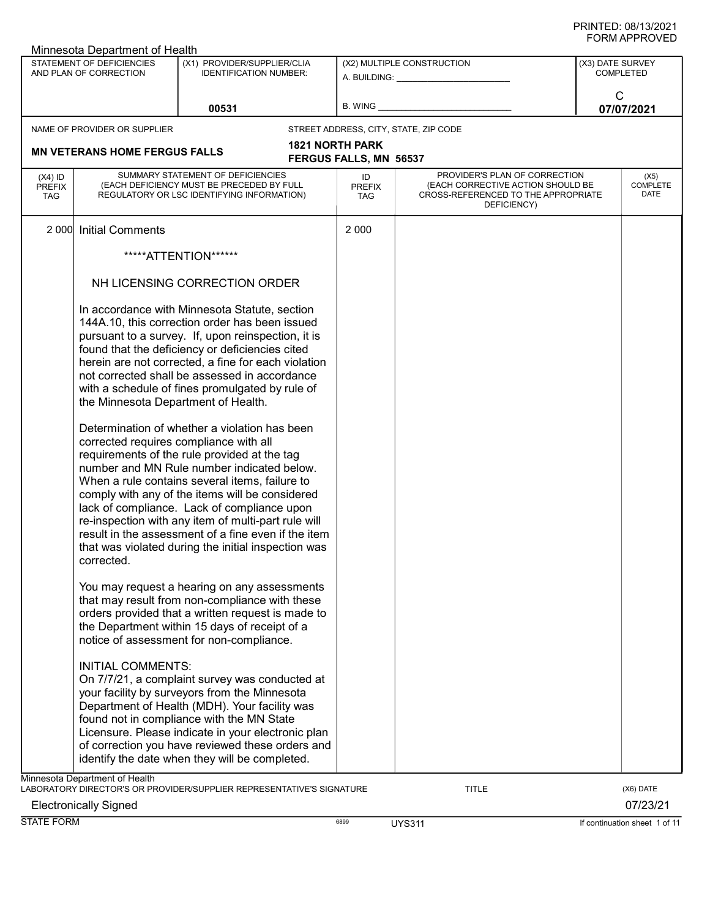|                                          | Minnesota Department of Health                                                |                                                                                                                                                                                                                                                                                                                                                                                                                                                                                                                                                                                                                                                                                                                               |                                                         |                                                                                                                          |                  |                                 |
|------------------------------------------|-------------------------------------------------------------------------------|-------------------------------------------------------------------------------------------------------------------------------------------------------------------------------------------------------------------------------------------------------------------------------------------------------------------------------------------------------------------------------------------------------------------------------------------------------------------------------------------------------------------------------------------------------------------------------------------------------------------------------------------------------------------------------------------------------------------------------|---------------------------------------------------------|--------------------------------------------------------------------------------------------------------------------------|------------------|---------------------------------|
|                                          | STATEMENT OF DEFICIENCIES<br>AND PLAN OF CORRECTION                           | (X1) PROVIDER/SUPPLIER/CLIA<br><b>IDENTIFICATION NUMBER:</b>                                                                                                                                                                                                                                                                                                                                                                                                                                                                                                                                                                                                                                                                  |                                                         | (X2) MULTIPLE CONSTRUCTION                                                                                               | (X3) DATE SURVEY | <b>COMPLETED</b>                |
|                                          |                                                                               | 00531                                                                                                                                                                                                                                                                                                                                                                                                                                                                                                                                                                                                                                                                                                                         | <b>B. WING</b>                                          |                                                                                                                          | C                | 07/07/2021                      |
|                                          | NAME OF PROVIDER OR SUPPLIER                                                  |                                                                                                                                                                                                                                                                                                                                                                                                                                                                                                                                                                                                                                                                                                                               |                                                         | STREET ADDRESS, CITY, STATE, ZIP CODE                                                                                    |                  |                                 |
|                                          | <b>MN VETERANS HOME FERGUS FALLS</b>                                          |                                                                                                                                                                                                                                                                                                                                                                                                                                                                                                                                                                                                                                                                                                                               | <b>1821 NORTH PARK</b><br><b>FERGUS FALLS, MN 56537</b> |                                                                                                                          |                  |                                 |
| $(X4)$ ID<br><b>PREFIX</b><br><b>TAG</b> |                                                                               | SUMMARY STATEMENT OF DEFICIENCIES<br>(EACH DEFICIENCY MUST BE PRECEDED BY FULL<br>REGULATORY OR LSC IDENTIFYING INFORMATION)                                                                                                                                                                                                                                                                                                                                                                                                                                                                                                                                                                                                  | ID<br><b>PREFIX</b><br>TAG                              | PROVIDER'S PLAN OF CORRECTION<br>(EACH CORRECTIVE ACTION SHOULD BE<br>CROSS-REFERENCED TO THE APPROPRIATE<br>DEFICIENCY) |                  | (X5)<br><b>COMPLETE</b><br>DATE |
| 2 0 0 0                                  | <b>Initial Comments</b>                                                       |                                                                                                                                                                                                                                                                                                                                                                                                                                                                                                                                                                                                                                                                                                                               | 2 0 0 0                                                 |                                                                                                                          |                  |                                 |
|                                          |                                                                               | *****ATTENTION******                                                                                                                                                                                                                                                                                                                                                                                                                                                                                                                                                                                                                                                                                                          |                                                         |                                                                                                                          |                  |                                 |
|                                          |                                                                               | NH LICENSING CORRECTION ORDER                                                                                                                                                                                                                                                                                                                                                                                                                                                                                                                                                                                                                                                                                                 |                                                         |                                                                                                                          |                  |                                 |
|                                          | the Minnesota Department of Health.<br>corrected requires compliance with all | In accordance with Minnesota Statute, section<br>144A.10, this correction order has been issued<br>pursuant to a survey. If, upon reinspection, it is<br>found that the deficiency or deficiencies cited<br>herein are not corrected, a fine for each violation<br>not corrected shall be assessed in accordance<br>with a schedule of fines promulgated by rule of<br>Determination of whether a violation has been<br>requirements of the rule provided at the tag<br>number and MN Rule number indicated below.<br>When a rule contains several items, failure to<br>comply with any of the items will be considered<br>lack of compliance. Lack of compliance upon<br>re-inspection with any item of multi-part rule will |                                                         |                                                                                                                          |                  |                                 |
|                                          | corrected.                                                                    | result in the assessment of a fine even if the item<br>that was violated during the initial inspection was                                                                                                                                                                                                                                                                                                                                                                                                                                                                                                                                                                                                                    |                                                         |                                                                                                                          |                  |                                 |
|                                          |                                                                               | You may request a hearing on any assessments<br>that may result from non-compliance with these<br>orders provided that a written request is made to<br>the Department within 15 days of receipt of a<br>notice of assessment for non-compliance.                                                                                                                                                                                                                                                                                                                                                                                                                                                                              |                                                         |                                                                                                                          |                  |                                 |
|                                          | <b>INITIAL COMMENTS:</b>                                                      | On 7/7/21, a complaint survey was conducted at<br>your facility by surveyors from the Minnesota<br>Department of Health (MDH). Your facility was<br>found not in compliance with the MN State<br>Licensure. Please indicate in your electronic plan<br>of correction you have reviewed these orders and<br>identify the date when they will be completed.                                                                                                                                                                                                                                                                                                                                                                     |                                                         |                                                                                                                          |                  |                                 |
|                                          | Minnesota Department of Health                                                | LABORATORY DIRECTOR'S OR PROVIDER/SUPPLIER REPRESENTATIVE'S SIGNATURE                                                                                                                                                                                                                                                                                                                                                                                                                                                                                                                                                                                                                                                         |                                                         | TITLE                                                                                                                    |                  | (X6) DATE                       |
| <b>Electronically Signed</b>             |                                                                               |                                                                                                                                                                                                                                                                                                                                                                                                                                                                                                                                                                                                                                                                                                                               |                                                         |                                                                                                                          |                  | 07/23/21                        |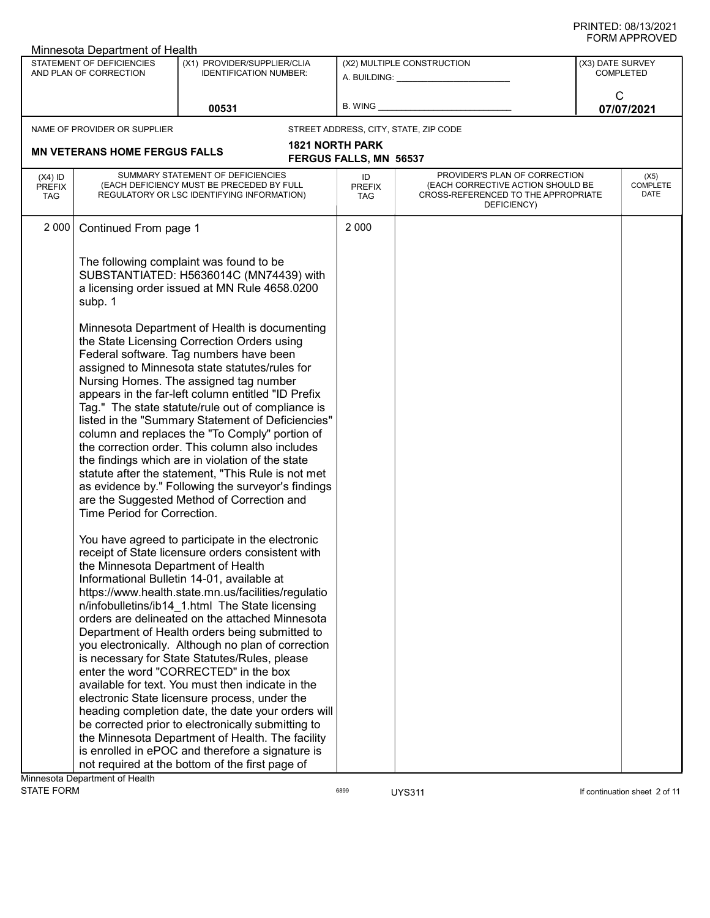|                                          | Minnesota Department of Health                                    |                                                                                                                                                                                                                                                                                                                                                                                                                                                                                                                                                                                                                                                                                                                                                                                                                                                                               |                                   |                                                                                                                          |                  | ש∟יטוור וחיוויט                 |
|------------------------------------------|-------------------------------------------------------------------|-------------------------------------------------------------------------------------------------------------------------------------------------------------------------------------------------------------------------------------------------------------------------------------------------------------------------------------------------------------------------------------------------------------------------------------------------------------------------------------------------------------------------------------------------------------------------------------------------------------------------------------------------------------------------------------------------------------------------------------------------------------------------------------------------------------------------------------------------------------------------------|-----------------------------------|--------------------------------------------------------------------------------------------------------------------------|------------------|---------------------------------|
|                                          | STATEMENT OF DEFICIENCIES<br>AND PLAN OF CORRECTION               | (X1) PROVIDER/SUPPLIER/CLIA<br><b>IDENTIFICATION NUMBER:</b>                                                                                                                                                                                                                                                                                                                                                                                                                                                                                                                                                                                                                                                                                                                                                                                                                  |                                   | (X2) MULTIPLE CONSTRUCTION<br>A. BUILDING: A. BUILDING:                                                                  | (X3) DATE SURVEY | <b>COMPLETED</b>                |
|                                          |                                                                   | 00531                                                                                                                                                                                                                                                                                                                                                                                                                                                                                                                                                                                                                                                                                                                                                                                                                                                                         | B. WING                           |                                                                                                                          | C                | 07/07/2021                      |
|                                          | NAME OF PROVIDER OR SUPPLIER                                      |                                                                                                                                                                                                                                                                                                                                                                                                                                                                                                                                                                                                                                                                                                                                                                                                                                                                               |                                   | STREET ADDRESS, CITY, STATE, ZIP CODE                                                                                    |                  |                                 |
|                                          | <b>MN VETERANS HOME FERGUS FALLS</b>                              |                                                                                                                                                                                                                                                                                                                                                                                                                                                                                                                                                                                                                                                                                                                                                                                                                                                                               | <b>1821 NORTH PARK</b>            |                                                                                                                          |                  |                                 |
|                                          |                                                                   |                                                                                                                                                                                                                                                                                                                                                                                                                                                                                                                                                                                                                                                                                                                                                                                                                                                                               | <b>FERGUS FALLS, MN 56537</b>     |                                                                                                                          |                  |                                 |
| $(X4)$ ID<br><b>PREFIX</b><br><b>TAG</b> |                                                                   | SUMMARY STATEMENT OF DEFICIENCIES<br>(EACH DEFICIENCY MUST BE PRECEDED BY FULL<br>REGULATORY OR LSC IDENTIFYING INFORMATION)                                                                                                                                                                                                                                                                                                                                                                                                                                                                                                                                                                                                                                                                                                                                                  | ID<br><b>PREFIX</b><br><b>TAG</b> | PROVIDER'S PLAN OF CORRECTION<br>(EACH CORRECTIVE ACTION SHOULD BE<br>CROSS-REFERENCED TO THE APPROPRIATE<br>DEFICIENCY) |                  | (X5)<br><b>COMPLETE</b><br>DATE |
| 2 0 0 0                                  | Continued From page 1                                             |                                                                                                                                                                                                                                                                                                                                                                                                                                                                                                                                                                                                                                                                                                                                                                                                                                                                               | 2 0 0 0                           |                                                                                                                          |                  |                                 |
|                                          | subp. 1                                                           | The following complaint was found to be<br>SUBSTANTIATED: H5636014C (MN74439) with<br>a licensing order issued at MN Rule 4658.0200                                                                                                                                                                                                                                                                                                                                                                                                                                                                                                                                                                                                                                                                                                                                           |                                   |                                                                                                                          |                  |                                 |
|                                          | Time Period for Correction.<br>the Minnesota Department of Health | Minnesota Department of Health is documenting<br>the State Licensing Correction Orders using<br>Federal software. Tag numbers have been<br>assigned to Minnesota state statutes/rules for<br>Nursing Homes. The assigned tag number<br>appears in the far-left column entitled "ID Prefix<br>Tag." The state statute/rule out of compliance is<br>listed in the "Summary Statement of Deficiencies"<br>column and replaces the "To Comply" portion of<br>the correction order. This column also includes<br>the findings which are in violation of the state<br>statute after the statement, "This Rule is not met<br>as evidence by." Following the surveyor's findings<br>are the Suggested Method of Correction and<br>You have agreed to participate in the electronic<br>receipt of State licensure orders consistent with<br>Informational Bulletin 14-01, available at |                                   |                                                                                                                          |                  |                                 |
|                                          |                                                                   | https://www.health.state.mn.us/facilities/regulatio<br>n/infobulletins/ib14 1.html The State licensing<br>orders are delineated on the attached Minnesota<br>Department of Health orders being submitted to<br>you electronically. Although no plan of correction<br>is necessary for State Statutes/Rules, please<br>enter the word "CORRECTED" in the box<br>available for text. You must then indicate in the<br>electronic State licensure process, under the<br>heading completion date, the date your orders will                                                                                                                                                                                                                                                                                                                                                       |                                   |                                                                                                                          |                  |                                 |
|                                          |                                                                   | be corrected prior to electronically submitting to<br>the Minnesota Department of Health. The facility<br>is enrolled in ePOC and therefore a signature is<br>not required at the bottom of the first page of                                                                                                                                                                                                                                                                                                                                                                                                                                                                                                                                                                                                                                                                 |                                   |                                                                                                                          |                  |                                 |
|                                          | Minnesota Department of Health                                    |                                                                                                                                                                                                                                                                                                                                                                                                                                                                                                                                                                                                                                                                                                                                                                                                                                                                               |                                   |                                                                                                                          |                  |                                 |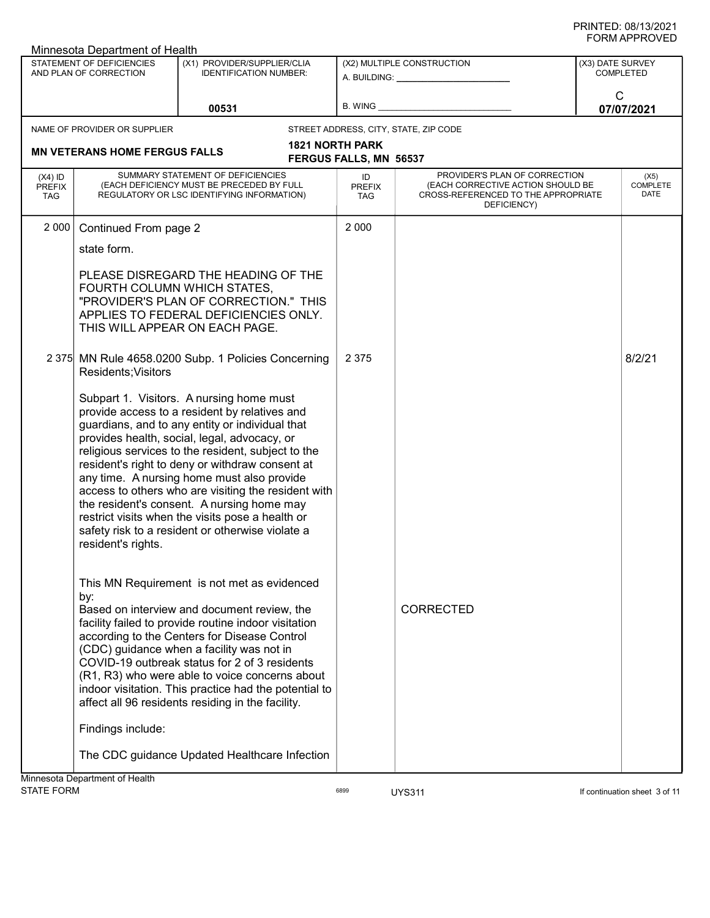|                                          | ש∟יטוור ותשוט<br>Minnesota Department of Health                                                                                                                                                                                                                                                                                                                                                                                                                                                                                                                                        |                                                                                                                                                                                                                                                                                                                                                                                                                                                                  |                                                         |                                                                                                                                                                                                                                                              |                                      |                                 |  |
|------------------------------------------|----------------------------------------------------------------------------------------------------------------------------------------------------------------------------------------------------------------------------------------------------------------------------------------------------------------------------------------------------------------------------------------------------------------------------------------------------------------------------------------------------------------------------------------------------------------------------------------|------------------------------------------------------------------------------------------------------------------------------------------------------------------------------------------------------------------------------------------------------------------------------------------------------------------------------------------------------------------------------------------------------------------------------------------------------------------|---------------------------------------------------------|--------------------------------------------------------------------------------------------------------------------------------------------------------------------------------------------------------------------------------------------------------------|--------------------------------------|---------------------------------|--|
|                                          | STATEMENT OF DEFICIENCIES<br>AND PLAN OF CORRECTION                                                                                                                                                                                                                                                                                                                                                                                                                                                                                                                                    | (X1) PROVIDER/SUPPLIER/CLIA<br><b>IDENTIFICATION NUMBER:</b>                                                                                                                                                                                                                                                                                                                                                                                                     |                                                         | (X2) MULTIPLE CONSTRUCTION<br>A. BUILDING: A AND AND A STREAM OF A STREAM OF A STREAM OF A STREAM OF A STREAM OF A STREAM OF A STREAM OF A STREAM OF A STREAM OF A STREAM OF A STREAM OF A STREAM OF A STREAM OF A STREAM OF A STREAM OF A STREAM OF A STREA | (X3) DATE SURVEY<br><b>COMPLETED</b> |                                 |  |
|                                          |                                                                                                                                                                                                                                                                                                                                                                                                                                                                                                                                                                                        | 00531                                                                                                                                                                                                                                                                                                                                                                                                                                                            |                                                         | B. WING <b>Example 2008</b>                                                                                                                                                                                                                                  | $\mathsf{C}$                         | 07/07/2021                      |  |
|                                          | NAME OF PROVIDER OR SUPPLIER                                                                                                                                                                                                                                                                                                                                                                                                                                                                                                                                                           |                                                                                                                                                                                                                                                                                                                                                                                                                                                                  |                                                         | STREET ADDRESS, CITY, STATE, ZIP CODE                                                                                                                                                                                                                        |                                      |                                 |  |
|                                          | <b>MN VETERANS HOME FERGUS FALLS</b>                                                                                                                                                                                                                                                                                                                                                                                                                                                                                                                                                   |                                                                                                                                                                                                                                                                                                                                                                                                                                                                  | <b>1821 NORTH PARK</b><br><b>FERGUS FALLS, MN 56537</b> |                                                                                                                                                                                                                                                              |                                      |                                 |  |
| $(X4)$ ID<br><b>PREFIX</b><br><b>TAG</b> |                                                                                                                                                                                                                                                                                                                                                                                                                                                                                                                                                                                        | SUMMARY STATEMENT OF DEFICIENCIES<br>(EACH DEFICIENCY MUST BE PRECEDED BY FULL<br>REGULATORY OR LSC IDENTIFYING INFORMATION)                                                                                                                                                                                                                                                                                                                                     | ID<br><b>PREFIX</b><br><b>TAG</b>                       | PROVIDER'S PLAN OF CORRECTION<br>(EACH CORRECTIVE ACTION SHOULD BE<br>CROSS-REFERENCED TO THE APPROPRIATE<br>DEFICIENCY)                                                                                                                                     |                                      | (X5)<br><b>COMPLETE</b><br>DATE |  |
| 2 0 0 0                                  | Continued From page 2                                                                                                                                                                                                                                                                                                                                                                                                                                                                                                                                                                  |                                                                                                                                                                                                                                                                                                                                                                                                                                                                  | 2 0 0 0                                                 |                                                                                                                                                                                                                                                              |                                      |                                 |  |
|                                          | state form.                                                                                                                                                                                                                                                                                                                                                                                                                                                                                                                                                                            |                                                                                                                                                                                                                                                                                                                                                                                                                                                                  |                                                         |                                                                                                                                                                                                                                                              |                                      |                                 |  |
|                                          | FOURTH COLUMN WHICH STATES,                                                                                                                                                                                                                                                                                                                                                                                                                                                                                                                                                            | PLEASE DISREGARD THE HEADING OF THE<br>"PROVIDER'S PLAN OF CORRECTION." THIS<br>APPLIES TO FEDERAL DEFICIENCIES ONLY.<br>THIS WILL APPEAR ON EACH PAGE.                                                                                                                                                                                                                                                                                                          |                                                         |                                                                                                                                                                                                                                                              |                                      |                                 |  |
|                                          | Residents; Visitors                                                                                                                                                                                                                                                                                                                                                                                                                                                                                                                                                                    | 2 375 MN Rule 4658.0200 Subp. 1 Policies Concerning                                                                                                                                                                                                                                                                                                                                                                                                              | 2 3 7 5                                                 |                                                                                                                                                                                                                                                              |                                      | 8/2/21                          |  |
|                                          | Subpart 1. Visitors. A nursing home must<br>provide access to a resident by relatives and<br>guardians, and to any entity or individual that<br>provides health, social, legal, advocacy, or<br>religious services to the resident, subject to the<br>resident's right to deny or withdraw consent at<br>any time. A nursing home must also provide<br>access to others who are visiting the resident with<br>the resident's consent. A nursing home may<br>restrict visits when the visits pose a health or<br>safety risk to a resident or otherwise violate a<br>resident's rights. |                                                                                                                                                                                                                                                                                                                                                                                                                                                                  |                                                         |                                                                                                                                                                                                                                                              |                                      |                                 |  |
|                                          | by:<br>Findings include:                                                                                                                                                                                                                                                                                                                                                                                                                                                                                                                                                               | This MN Requirement is not met as evidenced<br>Based on interview and document review, the<br>facility failed to provide routine indoor visitation<br>according to the Centers for Disease Control<br>(CDC) guidance when a facility was not in<br>COVID-19 outbreak status for 2 of 3 residents<br>(R1, R3) who were able to voice concerns about<br>indoor visitation. This practice had the potential to<br>affect all 96 residents residing in the facility. |                                                         | <b>CORRECTED</b>                                                                                                                                                                                                                                             |                                      |                                 |  |
|                                          |                                                                                                                                                                                                                                                                                                                                                                                                                                                                                                                                                                                        | The CDC guidance Updated Healthcare Infection                                                                                                                                                                                                                                                                                                                                                                                                                    |                                                         |                                                                                                                                                                                                                                                              |                                      |                                 |  |
|                                          | Minnesota Department of Health                                                                                                                                                                                                                                                                                                                                                                                                                                                                                                                                                         |                                                                                                                                                                                                                                                                                                                                                                                                                                                                  |                                                         |                                                                                                                                                                                                                                                              |                                      |                                 |  |

STATE FORM **EXAMPLE 19** TORM 6899 **UYS311 UYS311** UYS311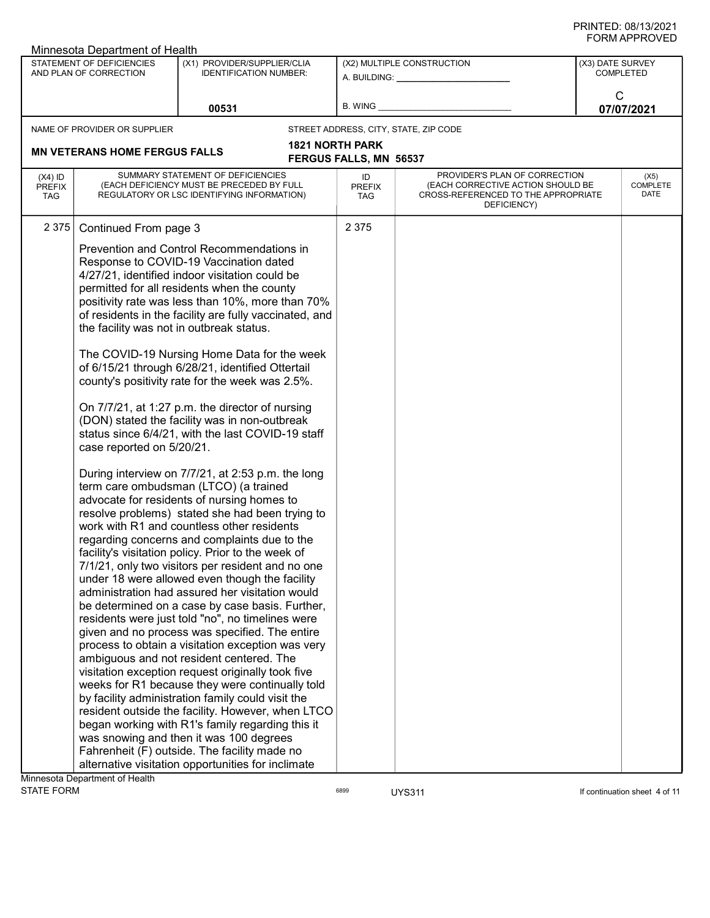| FURIVI APPRUVED<br>Minnesota Department of Health   |                                                                                                                                                                                                                                                                                                                                                                                                                                                                                                                                                                                                                                                                                                                                                                                                                                                                                                                                                                                                                                                                                                                                                                                                                                                                                                                                                                                                                                                                                                                                                                                                                                                                                                                                                                                                                                                             |         |                                                         |                                                                                                                          |                 |                                      |  |
|-----------------------------------------------------|-------------------------------------------------------------------------------------------------------------------------------------------------------------------------------------------------------------------------------------------------------------------------------------------------------------------------------------------------------------------------------------------------------------------------------------------------------------------------------------------------------------------------------------------------------------------------------------------------------------------------------------------------------------------------------------------------------------------------------------------------------------------------------------------------------------------------------------------------------------------------------------------------------------------------------------------------------------------------------------------------------------------------------------------------------------------------------------------------------------------------------------------------------------------------------------------------------------------------------------------------------------------------------------------------------------------------------------------------------------------------------------------------------------------------------------------------------------------------------------------------------------------------------------------------------------------------------------------------------------------------------------------------------------------------------------------------------------------------------------------------------------------------------------------------------------------------------------------------------------|---------|---------------------------------------------------------|--------------------------------------------------------------------------------------------------------------------------|-----------------|--------------------------------------|--|
| STATEMENT OF DEFICIENCIES<br>AND PLAN OF CORRECTION | (X1) PROVIDER/SUPPLIER/CLIA<br><b>IDENTIFICATION NUMBER:</b>                                                                                                                                                                                                                                                                                                                                                                                                                                                                                                                                                                                                                                                                                                                                                                                                                                                                                                                                                                                                                                                                                                                                                                                                                                                                                                                                                                                                                                                                                                                                                                                                                                                                                                                                                                                                |         |                                                         | (X2) MULTIPLE CONSTRUCTION<br>A. BUILDING: _________________                                                             |                 | (X3) DATE SURVEY<br><b>COMPLETED</b> |  |
| 00531                                               |                                                                                                                                                                                                                                                                                                                                                                                                                                                                                                                                                                                                                                                                                                                                                                                                                                                                                                                                                                                                                                                                                                                                                                                                                                                                                                                                                                                                                                                                                                                                                                                                                                                                                                                                                                                                                                                             | B. WING |                                                         |                                                                                                                          | C<br>07/07/2021 |                                      |  |
| NAME OF PROVIDER OR SUPPLIER                        |                                                                                                                                                                                                                                                                                                                                                                                                                                                                                                                                                                                                                                                                                                                                                                                                                                                                                                                                                                                                                                                                                                                                                                                                                                                                                                                                                                                                                                                                                                                                                                                                                                                                                                                                                                                                                                                             |         |                                                         | STREET ADDRESS, CITY, STATE, ZIP CODE                                                                                    |                 |                                      |  |
| <b>MN VETERANS HOME FERGUS FALLS</b>                |                                                                                                                                                                                                                                                                                                                                                                                                                                                                                                                                                                                                                                                                                                                                                                                                                                                                                                                                                                                                                                                                                                                                                                                                                                                                                                                                                                                                                                                                                                                                                                                                                                                                                                                                                                                                                                                             |         | <b>1821 NORTH PARK</b><br><b>FERGUS FALLS, MN 56537</b> |                                                                                                                          |                 |                                      |  |
| $(X4)$ ID<br><b>PREFIX</b><br><b>TAG</b>            | SUMMARY STATEMENT OF DEFICIENCIES<br>(EACH DEFICIENCY MUST BE PRECEDED BY FULL<br>REGULATORY OR LSC IDENTIFYING INFORMATION)                                                                                                                                                                                                                                                                                                                                                                                                                                                                                                                                                                                                                                                                                                                                                                                                                                                                                                                                                                                                                                                                                                                                                                                                                                                                                                                                                                                                                                                                                                                                                                                                                                                                                                                                |         | ID<br><b>PREFIX</b><br>TAG                              | PROVIDER'S PLAN OF CORRECTION<br>(EACH CORRECTIVE ACTION SHOULD BE<br>CROSS-REFERENCED TO THE APPROPRIATE<br>DEFICIENCY) |                 | (X5)<br><b>COMPLETE</b><br>DATE      |  |
| 2 3 7 5<br>Continued From page 3                    |                                                                                                                                                                                                                                                                                                                                                                                                                                                                                                                                                                                                                                                                                                                                                                                                                                                                                                                                                                                                                                                                                                                                                                                                                                                                                                                                                                                                                                                                                                                                                                                                                                                                                                                                                                                                                                                             |         | 2 3 7 5                                                 |                                                                                                                          |                 |                                      |  |
| case reported on 5/20/21.                           | Prevention and Control Recommendations in<br>Response to COVID-19 Vaccination dated<br>4/27/21, identified indoor visitation could be<br>permitted for all residents when the county<br>positivity rate was less than 10%, more than 70%<br>of residents in the facility are fully vaccinated, and<br>the facility was not in outbreak status.<br>The COVID-19 Nursing Home Data for the week<br>of 6/15/21 through 6/28/21, identified Ottertail<br>county's positivity rate for the week was 2.5%.<br>On 7/7/21, at 1:27 p.m. the director of nursing<br>(DON) stated the facility was in non-outbreak<br>status since 6/4/21, with the last COVID-19 staff<br>During interview on 7/7/21, at 2:53 p.m. the long<br>term care ombudsman (LTCO) (a trained<br>advocate for residents of nursing homes to<br>resolve problems) stated she had been trying to<br>work with R1 and countless other residents<br>regarding concerns and complaints due to the<br>facility's visitation policy. Prior to the week of<br>7/1/21, only two visitors per resident and no one<br>under 18 were allowed even though the facility<br>administration had assured her visitation would<br>be determined on a case by case basis. Further,<br>residents were just told "no", no timelines were<br>given and no process was specified. The entire<br>process to obtain a visitation exception was very<br>ambiguous and not resident centered. The<br>visitation exception request originally took five<br>weeks for R1 because they were continually told<br>by facility administration family could visit the<br>resident outside the facility. However, when LTCO<br>began working with R1's family regarding this it<br>was snowing and then it was 100 degrees<br>Fahrenheit (F) outside. The facility made no<br>alternative visitation opportunities for inclimate |         |                                                         |                                                                                                                          |                 |                                      |  |
| Minnesota Department of Health                      |                                                                                                                                                                                                                                                                                                                                                                                                                                                                                                                                                                                                                                                                                                                                                                                                                                                                                                                                                                                                                                                                                                                                                                                                                                                                                                                                                                                                                                                                                                                                                                                                                                                                                                                                                                                                                                                             |         |                                                         |                                                                                                                          |                 |                                      |  |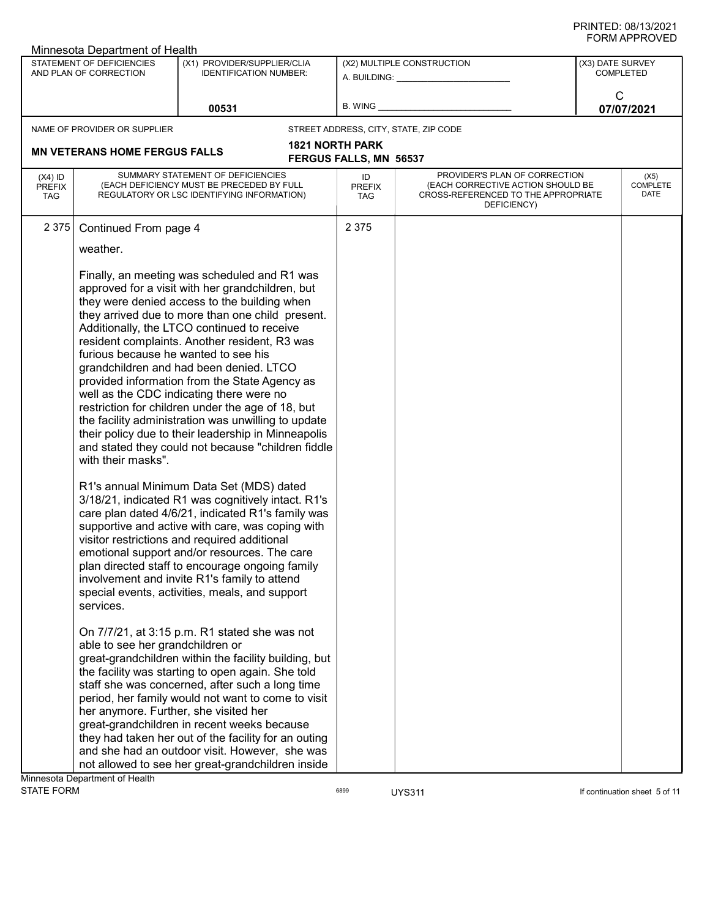|                                          | <b>JINIAI LIVULL</b><br>Minnesota Department of Health                                                                   |                                                                                                                                                                                                                                                                                                                                                                                                                                                                                                                                                                                                                                                                                                                                                                                                                                                                                                        |                                                         |                                                                                                                          |                                      |                          |  |
|------------------------------------------|--------------------------------------------------------------------------------------------------------------------------|--------------------------------------------------------------------------------------------------------------------------------------------------------------------------------------------------------------------------------------------------------------------------------------------------------------------------------------------------------------------------------------------------------------------------------------------------------------------------------------------------------------------------------------------------------------------------------------------------------------------------------------------------------------------------------------------------------------------------------------------------------------------------------------------------------------------------------------------------------------------------------------------------------|---------------------------------------------------------|--------------------------------------------------------------------------------------------------------------------------|--------------------------------------|--------------------------|--|
|                                          | STATEMENT OF DEFICIENCIES<br>AND PLAN OF CORRECTION                                                                      | (X1) PROVIDER/SUPPLIER/CLIA<br><b>IDENTIFICATION NUMBER:</b>                                                                                                                                                                                                                                                                                                                                                                                                                                                                                                                                                                                                                                                                                                                                                                                                                                           |                                                         | (X2) MULTIPLE CONSTRUCTION<br>A. BUILDING: A. BUILDING:                                                                  | (X3) DATE SURVEY<br><b>COMPLETED</b> |                          |  |
|                                          | 00531                                                                                                                    |                                                                                                                                                                                                                                                                                                                                                                                                                                                                                                                                                                                                                                                                                                                                                                                                                                                                                                        | B. WING                                                 |                                                                                                                          | C                                    | 07/07/2021               |  |
|                                          | NAME OF PROVIDER OR SUPPLIER                                                                                             |                                                                                                                                                                                                                                                                                                                                                                                                                                                                                                                                                                                                                                                                                                                                                                                                                                                                                                        |                                                         | STREET ADDRESS, CITY, STATE, ZIP CODE                                                                                    |                                      |                          |  |
|                                          | <b>MN VETERANS HOME FERGUS FALLS</b>                                                                                     |                                                                                                                                                                                                                                                                                                                                                                                                                                                                                                                                                                                                                                                                                                                                                                                                                                                                                                        | <b>1821 NORTH PARK</b><br><b>FERGUS FALLS, MN 56537</b> |                                                                                                                          |                                      |                          |  |
| $(X4)$ ID<br><b>PREFIX</b><br><b>TAG</b> |                                                                                                                          | SUMMARY STATEMENT OF DEFICIENCIES<br>(EACH DEFICIENCY MUST BE PRECEDED BY FULL<br>REGULATORY OR LSC IDENTIFYING INFORMATION)                                                                                                                                                                                                                                                                                                                                                                                                                                                                                                                                                                                                                                                                                                                                                                           | ID<br><b>PREFIX</b><br><b>TAG</b>                       | PROVIDER'S PLAN OF CORRECTION<br>(EACH CORRECTIVE ACTION SHOULD BE<br>CROSS-REFERENCED TO THE APPROPRIATE<br>DEFICIENCY) |                                      | (X5)<br>COMPLETE<br>DATE |  |
| 2 3 7 5                                  | Continued From page 4                                                                                                    |                                                                                                                                                                                                                                                                                                                                                                                                                                                                                                                                                                                                                                                                                                                                                                                                                                                                                                        | 2 3 7 5                                                 |                                                                                                                          |                                      |                          |  |
|                                          | weather.                                                                                                                 |                                                                                                                                                                                                                                                                                                                                                                                                                                                                                                                                                                                                                                                                                                                                                                                                                                                                                                        |                                                         |                                                                                                                          |                                      |                          |  |
|                                          | furious because he wanted to see his<br>with their masks".                                                               | Finally, an meeting was scheduled and R1 was<br>approved for a visit with her grandchildren, but<br>they were denied access to the building when<br>they arrived due to more than one child present.<br>Additionally, the LTCO continued to receive<br>resident complaints. Another resident, R3 was<br>grandchildren and had been denied. LTCO<br>provided information from the State Agency as<br>well as the CDC indicating there were no<br>restriction for children under the age of 18, but<br>the facility administration was unwilling to update<br>their policy due to their leadership in Minneapolis<br>and stated they could not because "children fiddle<br>R1's annual Minimum Data Set (MDS) dated                                                                                                                                                                                      |                                                         |                                                                                                                          |                                      |                          |  |
|                                          | services.<br>able to see her grandchildren or<br>her anymore. Further, she visited her<br>Minnesota Department of Health | 3/18/21, indicated R1 was cognitively intact. R1's<br>care plan dated 4/6/21, indicated R1's family was<br>supportive and active with care, was coping with<br>visitor restrictions and required additional<br>emotional support and/or resources. The care<br>plan directed staff to encourage ongoing family<br>involvement and invite R1's family to attend<br>special events, activities, meals, and support<br>On 7/7/21, at 3:15 p.m. R1 stated she was not<br>great-grandchildren within the facility building, but<br>the facility was starting to open again. She told<br>staff she was concerned, after such a long time<br>period, her family would not want to come to visit<br>great-grandchildren in recent weeks because<br>they had taken her out of the facility for an outing<br>and she had an outdoor visit. However, she was<br>not allowed to see her great-grandchildren inside |                                                         |                                                                                                                          |                                      |                          |  |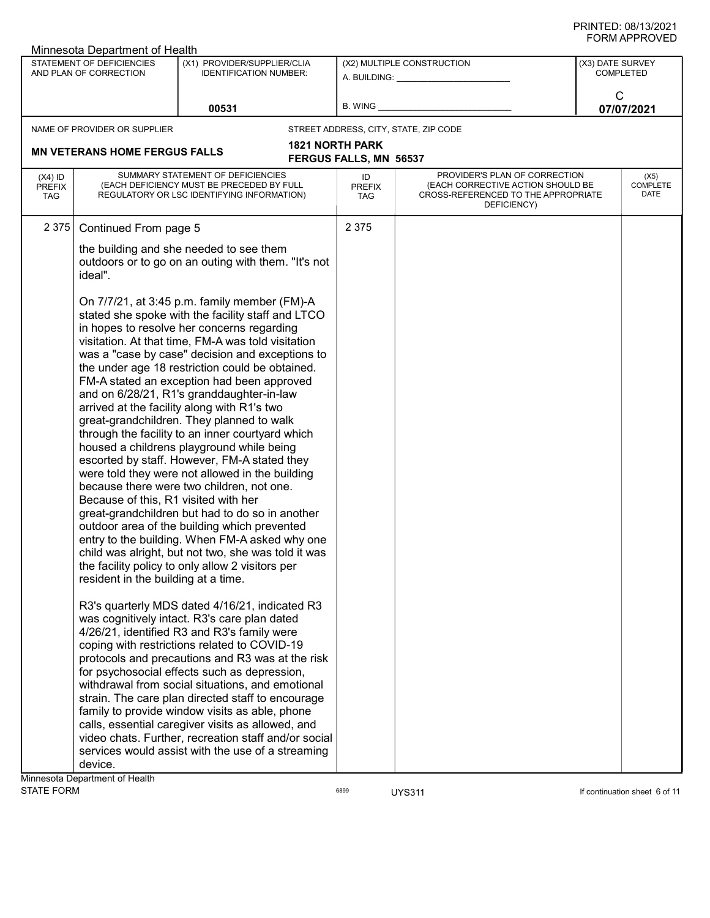| Minnesota Department of Health           |                                                                             |                                                                                                                                                                                                                                                                                                                                                                                                                                                                                                                                                                                                                                                                                                                                                                                                                                                                                                                                                                                                                                                                                                                                                                                                                                                                                                                                                                                                                                                                                                                                                                                                  |                                                        |                                                                                                                          |                               |                                 |  |  |
|------------------------------------------|-----------------------------------------------------------------------------|--------------------------------------------------------------------------------------------------------------------------------------------------------------------------------------------------------------------------------------------------------------------------------------------------------------------------------------------------------------------------------------------------------------------------------------------------------------------------------------------------------------------------------------------------------------------------------------------------------------------------------------------------------------------------------------------------------------------------------------------------------------------------------------------------------------------------------------------------------------------------------------------------------------------------------------------------------------------------------------------------------------------------------------------------------------------------------------------------------------------------------------------------------------------------------------------------------------------------------------------------------------------------------------------------------------------------------------------------------------------------------------------------------------------------------------------------------------------------------------------------------------------------------------------------------------------------------------------------|--------------------------------------------------------|--------------------------------------------------------------------------------------------------------------------------|-------------------------------|---------------------------------|--|--|
|                                          | <b>STATEMENT OF DEFICIENCIES</b><br>AND PLAN OF CORRECTION                  | (X1) PROVIDER/SUPPLIER/CLIA<br><b>IDENTIFICATION NUMBER:</b>                                                                                                                                                                                                                                                                                                                                                                                                                                                                                                                                                                                                                                                                                                                                                                                                                                                                                                                                                                                                                                                                                                                                                                                                                                                                                                                                                                                                                                                                                                                                     | (X2) MULTIPLE CONSTRUCTION<br>A. BUILDING: ___________ |                                                                                                                          | (X3) DATE SURVEY<br>COMPLETED |                                 |  |  |
|                                          |                                                                             | 00531                                                                                                                                                                                                                                                                                                                                                                                                                                                                                                                                                                                                                                                                                                                                                                                                                                                                                                                                                                                                                                                                                                                                                                                                                                                                                                                                                                                                                                                                                                                                                                                            | <b>B. WING</b>                                         |                                                                                                                          | C<br>07/07/2021               |                                 |  |  |
|                                          | NAME OF PROVIDER OR SUPPLIER                                                |                                                                                                                                                                                                                                                                                                                                                                                                                                                                                                                                                                                                                                                                                                                                                                                                                                                                                                                                                                                                                                                                                                                                                                                                                                                                                                                                                                                                                                                                                                                                                                                                  |                                                        | STREET ADDRESS, CITY, STATE, ZIP CODE                                                                                    |                               |                                 |  |  |
|                                          |                                                                             |                                                                                                                                                                                                                                                                                                                                                                                                                                                                                                                                                                                                                                                                                                                                                                                                                                                                                                                                                                                                                                                                                                                                                                                                                                                                                                                                                                                                                                                                                                                                                                                                  | <b>1821 NORTH PARK</b>                                 |                                                                                                                          |                               |                                 |  |  |
|                                          | <b>MN VETERANS HOME FERGUS FALLS</b>                                        |                                                                                                                                                                                                                                                                                                                                                                                                                                                                                                                                                                                                                                                                                                                                                                                                                                                                                                                                                                                                                                                                                                                                                                                                                                                                                                                                                                                                                                                                                                                                                                                                  | FERGUS FALLS, MN 56537                                 |                                                                                                                          |                               |                                 |  |  |
| $(X4)$ ID<br><b>PREFIX</b><br><b>TAG</b> |                                                                             | SUMMARY STATEMENT OF DEFICIENCIES<br>(EACH DEFICIENCY MUST BE PRECEDED BY FULL<br>REGULATORY OR LSC IDENTIFYING INFORMATION)                                                                                                                                                                                                                                                                                                                                                                                                                                                                                                                                                                                                                                                                                                                                                                                                                                                                                                                                                                                                                                                                                                                                                                                                                                                                                                                                                                                                                                                                     | ID<br><b>PREFIX</b><br>TAG                             | PROVIDER'S PLAN OF CORRECTION<br>(EACH CORRECTIVE ACTION SHOULD BE<br>CROSS-REFERENCED TO THE APPROPRIATE<br>DEFICIENCY) |                               | (X5)<br><b>COMPLETE</b><br>DATE |  |  |
| 2 3 7 5                                  | Continued From page 5                                                       |                                                                                                                                                                                                                                                                                                                                                                                                                                                                                                                                                                                                                                                                                                                                                                                                                                                                                                                                                                                                                                                                                                                                                                                                                                                                                                                                                                                                                                                                                                                                                                                                  | 2 3 7 5                                                |                                                                                                                          |                               |                                 |  |  |
|                                          | ideal".                                                                     | the building and she needed to see them<br>outdoors or to go on an outing with them. "It's not                                                                                                                                                                                                                                                                                                                                                                                                                                                                                                                                                                                                                                                                                                                                                                                                                                                                                                                                                                                                                                                                                                                                                                                                                                                                                                                                                                                                                                                                                                   |                                                        |                                                                                                                          |                               |                                 |  |  |
|                                          | Because of this, R1 visited with her<br>resident in the building at a time. | On 7/7/21, at 3:45 p.m. family member (FM)-A<br>stated she spoke with the facility staff and LTCO<br>in hopes to resolve her concerns regarding<br>visitation. At that time, FM-A was told visitation<br>was a "case by case" decision and exceptions to<br>the under age 18 restriction could be obtained.<br>FM-A stated an exception had been approved<br>and on 6/28/21, R1's granddaughter-in-law<br>arrived at the facility along with R1's two<br>great-grandchildren. They planned to walk<br>through the facility to an inner courtyard which<br>housed a childrens playground while being<br>escorted by staff. However, FM-A stated they<br>were told they were not allowed in the building<br>because there were two children, not one.<br>great-grandchildren but had to do so in another<br>outdoor area of the building which prevented<br>entry to the building. When FM-A asked why one<br>child was alright, but not two, she was told it was<br>the facility policy to only allow 2 visitors per<br>R3's quarterly MDS dated 4/16/21, indicated R3<br>was cognitively intact. R3's care plan dated<br>4/26/21, identified R3 and R3's family were<br>coping with restrictions related to COVID-19<br>protocols and precautions and R3 was at the risk<br>for psychosocial effects such as depression,<br>withdrawal from social situations, and emotional<br>strain. The care plan directed staff to encourage<br>family to provide window visits as able, phone<br>calls, essential caregiver visits as allowed, and<br>video chats. Further, recreation staff and/or social |                                                        |                                                                                                                          |                               |                                 |  |  |
|                                          |                                                                             | services would assist with the use of a streaming                                                                                                                                                                                                                                                                                                                                                                                                                                                                                                                                                                                                                                                                                                                                                                                                                                                                                                                                                                                                                                                                                                                                                                                                                                                                                                                                                                                                                                                                                                                                                |                                                        |                                                                                                                          |                               |                                 |  |  |
|                                          | device.                                                                     |                                                                                                                                                                                                                                                                                                                                                                                                                                                                                                                                                                                                                                                                                                                                                                                                                                                                                                                                                                                                                                                                                                                                                                                                                                                                                                                                                                                                                                                                                                                                                                                                  |                                                        |                                                                                                                          |                               |                                 |  |  |
|                                          | Minnesota Department of Health                                              |                                                                                                                                                                                                                                                                                                                                                                                                                                                                                                                                                                                                                                                                                                                                                                                                                                                                                                                                                                                                                                                                                                                                                                                                                                                                                                                                                                                                                                                                                                                                                                                                  |                                                        |                                                                                                                          |                               |                                 |  |  |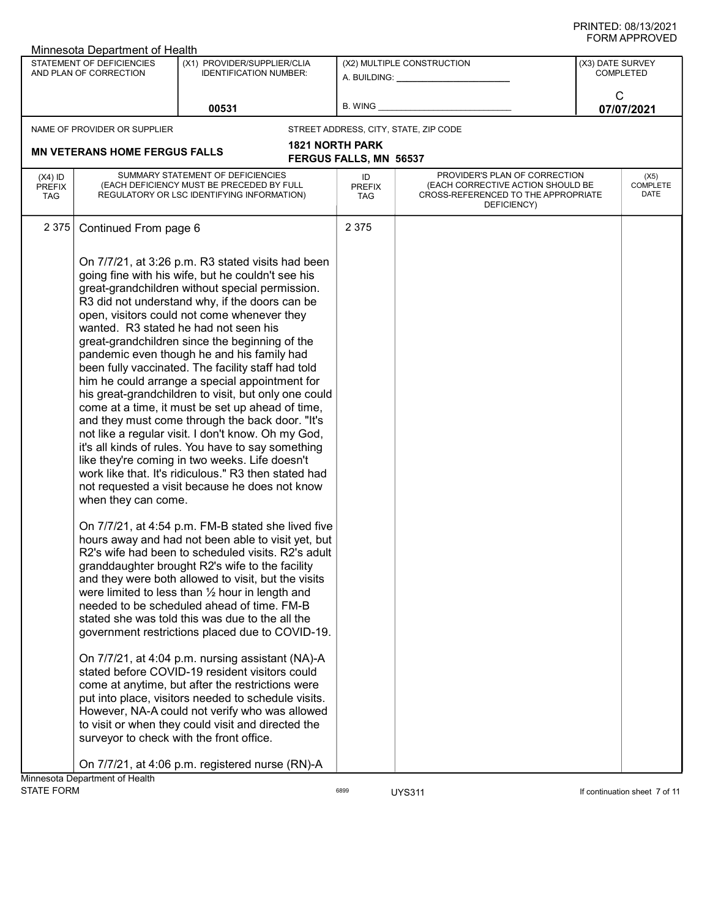|                                          | Minnesota Department of Health                      |                                                                                                                                                                                                                                                                                                                                                                                                                                                                                                                                                                                                                                                                                                                                                                                                                                                                                                                                                    |                                   |                                                                                                                          | ש∟יטוור וחיוויט                      |
|------------------------------------------|-----------------------------------------------------|----------------------------------------------------------------------------------------------------------------------------------------------------------------------------------------------------------------------------------------------------------------------------------------------------------------------------------------------------------------------------------------------------------------------------------------------------------------------------------------------------------------------------------------------------------------------------------------------------------------------------------------------------------------------------------------------------------------------------------------------------------------------------------------------------------------------------------------------------------------------------------------------------------------------------------------------------|-----------------------------------|--------------------------------------------------------------------------------------------------------------------------|--------------------------------------|
|                                          | STATEMENT OF DEFICIENCIES<br>AND PLAN OF CORRECTION | (X1) PROVIDER/SUPPLIER/CLIA<br><b>IDENTIFICATION NUMBER:</b>                                                                                                                                                                                                                                                                                                                                                                                                                                                                                                                                                                                                                                                                                                                                                                                                                                                                                       |                                   | (X2) MULTIPLE CONSTRUCTION<br>A. BUILDING: A. BUILDING:                                                                  | (X3) DATE SURVEY<br><b>COMPLETED</b> |
|                                          | 00531                                               |                                                                                                                                                                                                                                                                                                                                                                                                                                                                                                                                                                                                                                                                                                                                                                                                                                                                                                                                                    |                                   | B. WING <b>Example 2008</b>                                                                                              | C<br>07/07/2021                      |
|                                          | NAME OF PROVIDER OR SUPPLIER                        |                                                                                                                                                                                                                                                                                                                                                                                                                                                                                                                                                                                                                                                                                                                                                                                                                                                                                                                                                    |                                   | STREET ADDRESS, CITY, STATE, ZIP CODE                                                                                    |                                      |
|                                          |                                                     |                                                                                                                                                                                                                                                                                                                                                                                                                                                                                                                                                                                                                                                                                                                                                                                                                                                                                                                                                    | <b>1821 NORTH PARK</b>            |                                                                                                                          |                                      |
|                                          | <b>MN VETERANS HOME FERGUS FALLS</b>                |                                                                                                                                                                                                                                                                                                                                                                                                                                                                                                                                                                                                                                                                                                                                                                                                                                                                                                                                                    | <b>FERGUS FALLS, MN 56537</b>     |                                                                                                                          |                                      |
| $(X4)$ ID<br><b>PREFIX</b><br><b>TAG</b> |                                                     | SUMMARY STATEMENT OF DEFICIENCIES<br>(EACH DEFICIENCY MUST BE PRECEDED BY FULL<br>REGULATORY OR LSC IDENTIFYING INFORMATION)                                                                                                                                                                                                                                                                                                                                                                                                                                                                                                                                                                                                                                                                                                                                                                                                                       | ID<br><b>PREFIX</b><br><b>TAG</b> | PROVIDER'S PLAN OF CORRECTION<br>(EACH CORRECTIVE ACTION SHOULD BE<br>CROSS-REFERENCED TO THE APPROPRIATE<br>DEFICIENCY) | (X5)<br>COMPLETE<br>DATE             |
| 2 3 7 5                                  | Continued From page 6                               |                                                                                                                                                                                                                                                                                                                                                                                                                                                                                                                                                                                                                                                                                                                                                                                                                                                                                                                                                    | 2 3 7 5                           |                                                                                                                          |                                      |
|                                          | when they can come.                                 | On 7/7/21, at 3:26 p.m. R3 stated visits had been<br>going fine with his wife, but he couldn't see his<br>great-grandchildren without special permission.<br>R3 did not understand why, if the doors can be<br>open, visitors could not come whenever they<br>wanted. R3 stated he had not seen his<br>great-grandchildren since the beginning of the<br>pandemic even though he and his family had<br>been fully vaccinated. The facility staff had told<br>him he could arrange a special appointment for<br>his great-grandchildren to visit, but only one could<br>come at a time, it must be set up ahead of time,<br>and they must come through the back door. "It's<br>not like a regular visit. I don't know. Oh my God,<br>it's all kinds of rules. You have to say something<br>like they're coming in two weeks. Life doesn't<br>work like that. It's ridiculous." R3 then stated had<br>not requested a visit because he does not know |                                   |                                                                                                                          |                                      |
|                                          |                                                     | On 7/7/21, at 4:54 p.m. FM-B stated she lived five<br>hours away and had not been able to visit yet, but<br>R2's wife had been to scheduled visits. R2's adult<br>granddaughter brought R2's wife to the facility<br>and they were both allowed to visit, but the visits<br>were limited to less than $\frac{1}{2}$ hour in length and<br>needed to be scheduled ahead of time. FM-B<br>stated she was told this was due to the all the<br>government restrictions placed due to COVID-19.<br>On 7/7/21, at 4:04 p.m. nursing assistant (NA)-A<br>stated before COVID-19 resident visitors could<br>come at anytime, but after the restrictions were<br>put into place, visitors needed to schedule visits.<br>However, NA-A could not verify who was allowed<br>to visit or when they could visit and directed the<br>surveyor to check with the front office.                                                                                    |                                   |                                                                                                                          |                                      |
|                                          |                                                     | On 7/7/21, at 4:06 p.m. registered nurse (RN)-A                                                                                                                                                                                                                                                                                                                                                                                                                                                                                                                                                                                                                                                                                                                                                                                                                                                                                                    |                                   |                                                                                                                          |                                      |
| <b>STATE FORM</b>                        | Minnesota Department of Health                      |                                                                                                                                                                                                                                                                                                                                                                                                                                                                                                                                                                                                                                                                                                                                                                                                                                                                                                                                                    | 6899                              | <b>UYS311</b>                                                                                                            | If continuation sheet 7 of 11        |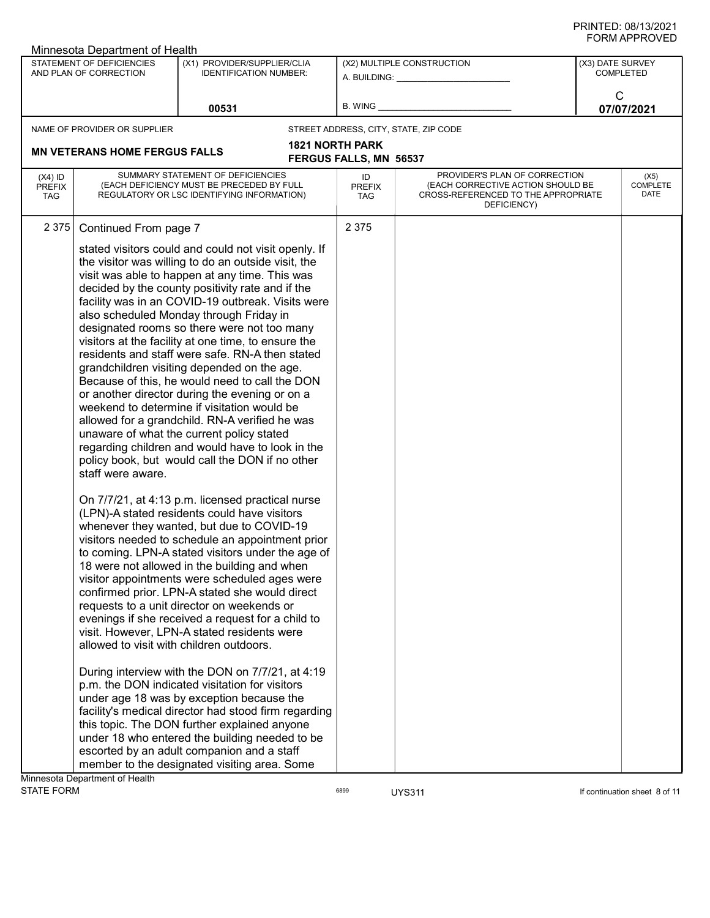|                                          | ש∟יטוור וחיוויט<br>Minnesota Department of Health             |                                                                                                                                                                                                                                                                                                                                                                                                                                                                                                                                                                                                                                                                                                                                                                                                                                                                                                                                                                                                                                                                                                                                                                                                                                                                                                                                                                                                                                                                                                                                                         |                                                     |                                                                                                                          |                  |                                 |  |
|------------------------------------------|---------------------------------------------------------------|---------------------------------------------------------------------------------------------------------------------------------------------------------------------------------------------------------------------------------------------------------------------------------------------------------------------------------------------------------------------------------------------------------------------------------------------------------------------------------------------------------------------------------------------------------------------------------------------------------------------------------------------------------------------------------------------------------------------------------------------------------------------------------------------------------------------------------------------------------------------------------------------------------------------------------------------------------------------------------------------------------------------------------------------------------------------------------------------------------------------------------------------------------------------------------------------------------------------------------------------------------------------------------------------------------------------------------------------------------------------------------------------------------------------------------------------------------------------------------------------------------------------------------------------------------|-----------------------------------------------------|--------------------------------------------------------------------------------------------------------------------------|------------------|---------------------------------|--|
|                                          | STATEMENT OF DEFICIENCIES<br>AND PLAN OF CORRECTION           | (X1) PROVIDER/SUPPLIER/CLIA<br><b>IDENTIFICATION NUMBER:</b>                                                                                                                                                                                                                                                                                                                                                                                                                                                                                                                                                                                                                                                                                                                                                                                                                                                                                                                                                                                                                                                                                                                                                                                                                                                                                                                                                                                                                                                                                            | (X2) MULTIPLE CONSTRUCTION<br>A. BUILDING: ________ |                                                                                                                          | (X3) DATE SURVEY | <b>COMPLETED</b>                |  |
|                                          |                                                               | 00531                                                                                                                                                                                                                                                                                                                                                                                                                                                                                                                                                                                                                                                                                                                                                                                                                                                                                                                                                                                                                                                                                                                                                                                                                                                                                                                                                                                                                                                                                                                                                   | B. WING                                             |                                                                                                                          | C                | 07/07/2021                      |  |
|                                          | NAME OF PROVIDER OR SUPPLIER                                  |                                                                                                                                                                                                                                                                                                                                                                                                                                                                                                                                                                                                                                                                                                                                                                                                                                                                                                                                                                                                                                                                                                                                                                                                                                                                                                                                                                                                                                                                                                                                                         |                                                     | STREET ADDRESS, CITY, STATE, ZIP CODE                                                                                    |                  |                                 |  |
|                                          | <b>MN VETERANS HOME FERGUS FALLS</b>                          |                                                                                                                                                                                                                                                                                                                                                                                                                                                                                                                                                                                                                                                                                                                                                                                                                                                                                                                                                                                                                                                                                                                                                                                                                                                                                                                                                                                                                                                                                                                                                         | <b>1821 NORTH PARK</b>                              |                                                                                                                          |                  |                                 |  |
|                                          |                                                               |                                                                                                                                                                                                                                                                                                                                                                                                                                                                                                                                                                                                                                                                                                                                                                                                                                                                                                                                                                                                                                                                                                                                                                                                                                                                                                                                                                                                                                                                                                                                                         | <b>FERGUS FALLS, MN 56537</b>                       |                                                                                                                          |                  |                                 |  |
| $(X4)$ ID<br><b>PREFIX</b><br><b>TAG</b> |                                                               | SUMMARY STATEMENT OF DEFICIENCIES<br>(EACH DEFICIENCY MUST BE PRECEDED BY FULL<br>REGULATORY OR LSC IDENTIFYING INFORMATION)                                                                                                                                                                                                                                                                                                                                                                                                                                                                                                                                                                                                                                                                                                                                                                                                                                                                                                                                                                                                                                                                                                                                                                                                                                                                                                                                                                                                                            | ID<br><b>PREFIX</b><br><b>TAG</b>                   | PROVIDER'S PLAN OF CORRECTION<br>(EACH CORRECTIVE ACTION SHOULD BE<br>CROSS-REFERENCED TO THE APPROPRIATE<br>DEFICIENCY) |                  | (X5)<br><b>COMPLETE</b><br>DATE |  |
| 2 3 7 5                                  | Continued From page 7                                         |                                                                                                                                                                                                                                                                                                                                                                                                                                                                                                                                                                                                                                                                                                                                                                                                                                                                                                                                                                                                                                                                                                                                                                                                                                                                                                                                                                                                                                                                                                                                                         | 2 3 7 5                                             |                                                                                                                          |                  |                                 |  |
|                                          | staff were aware.<br>allowed to visit with children outdoors. | stated visitors could and could not visit openly. If<br>the visitor was willing to do an outside visit, the<br>visit was able to happen at any time. This was<br>decided by the county positivity rate and if the<br>facility was in an COVID-19 outbreak. Visits were<br>also scheduled Monday through Friday in<br>designated rooms so there were not too many<br>visitors at the facility at one time, to ensure the<br>residents and staff were safe. RN-A then stated<br>grandchildren visiting depended on the age.<br>Because of this, he would need to call the DON<br>or another director during the evening or on a<br>weekend to determine if visitation would be<br>allowed for a grandchild. RN-A verified he was<br>unaware of what the current policy stated<br>regarding children and would have to look in the<br>policy book, but would call the DON if no other<br>On 7/7/21, at 4:13 p.m. licensed practical nurse<br>(LPN)-A stated residents could have visitors<br>whenever they wanted, but due to COVID-19<br>visitors needed to schedule an appointment prior<br>to coming. LPN-A stated visitors under the age of<br>18 were not allowed in the building and when<br>visitor appointments were scheduled ages were<br>confirmed prior. LPN-A stated she would direct<br>requests to a unit director on weekends or<br>evenings if she received a request for a child to<br>visit. However, LPN-A stated residents were<br>During interview with the DON on 7/7/21, at 4:19<br>p.m. the DON indicated visitation for visitors |                                                     |                                                                                                                          |                  |                                 |  |
|                                          |                                                               | under age 18 was by exception because the<br>facility's medical director had stood firm regarding<br>this topic. The DON further explained anyone<br>under 18 who entered the building needed to be                                                                                                                                                                                                                                                                                                                                                                                                                                                                                                                                                                                                                                                                                                                                                                                                                                                                                                                                                                                                                                                                                                                                                                                                                                                                                                                                                     |                                                     |                                                                                                                          |                  |                                 |  |
|                                          |                                                               | escorted by an adult companion and a staff<br>member to the designated visiting area. Some                                                                                                                                                                                                                                                                                                                                                                                                                                                                                                                                                                                                                                                                                                                                                                                                                                                                                                                                                                                                                                                                                                                                                                                                                                                                                                                                                                                                                                                              |                                                     |                                                                                                                          |                  |                                 |  |
|                                          | Minnesota Department of Health                                |                                                                                                                                                                                                                                                                                                                                                                                                                                                                                                                                                                                                                                                                                                                                                                                                                                                                                                                                                                                                                                                                                                                                                                                                                                                                                                                                                                                                                                                                                                                                                         |                                                     |                                                                                                                          |                  |                                 |  |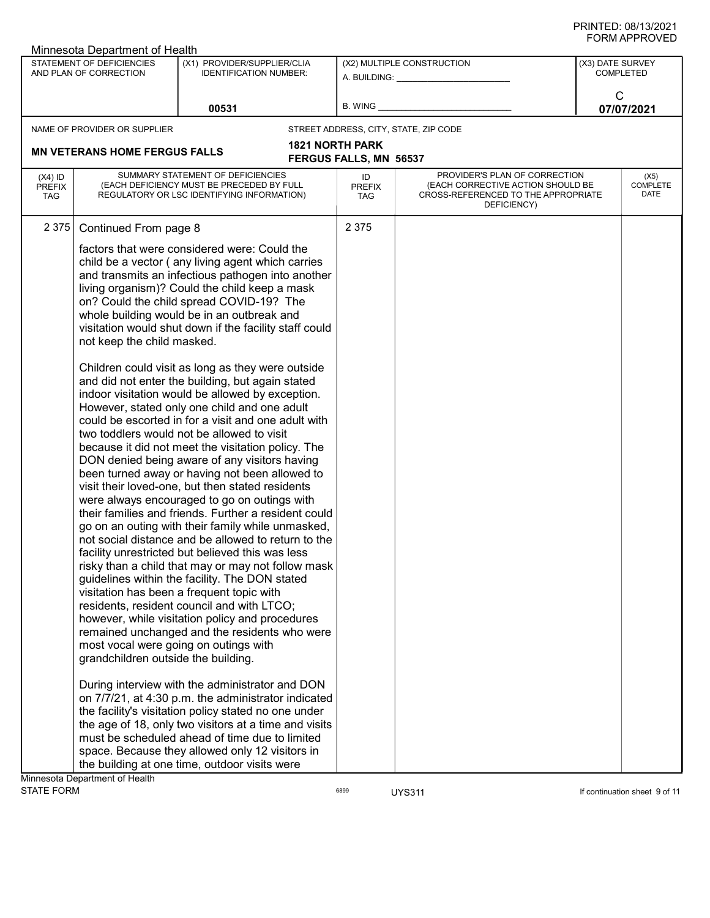|                                          | Minnesota Department of Health                                                                                               |                                                                                                                                                                                                                                                                                                                                                                                                                                                                                                                                                                                                                                                                                                                                                                                                                                                                                                                                                                                                                                                                                                                                                                                                                                                                                                                                                                                                                                                                                                                                                                                                                                                                                                                                                                                                                                                                                                     |                                               |                                                                                                                          |                                      |  |
|------------------------------------------|------------------------------------------------------------------------------------------------------------------------------|-----------------------------------------------------------------------------------------------------------------------------------------------------------------------------------------------------------------------------------------------------------------------------------------------------------------------------------------------------------------------------------------------------------------------------------------------------------------------------------------------------------------------------------------------------------------------------------------------------------------------------------------------------------------------------------------------------------------------------------------------------------------------------------------------------------------------------------------------------------------------------------------------------------------------------------------------------------------------------------------------------------------------------------------------------------------------------------------------------------------------------------------------------------------------------------------------------------------------------------------------------------------------------------------------------------------------------------------------------------------------------------------------------------------------------------------------------------------------------------------------------------------------------------------------------------------------------------------------------------------------------------------------------------------------------------------------------------------------------------------------------------------------------------------------------------------------------------------------------------------------------------------------------|-----------------------------------------------|--------------------------------------------------------------------------------------------------------------------------|--------------------------------------|--|
|                                          | STATEMENT OF DEFICIENCIES<br>(X1) PROVIDER/SUPPLIER/CLIA<br>AND PLAN OF CORRECTION<br><b>IDENTIFICATION NUMBER:</b><br>00531 |                                                                                                                                                                                                                                                                                                                                                                                                                                                                                                                                                                                                                                                                                                                                                                                                                                                                                                                                                                                                                                                                                                                                                                                                                                                                                                                                                                                                                                                                                                                                                                                                                                                                                                                                                                                                                                                                                                     | (X2) MULTIPLE CONSTRUCTION<br>A. BUILDING: A. |                                                                                                                          | (X3) DATE SURVEY<br><b>COMPLETED</b> |  |
|                                          |                                                                                                                              |                                                                                                                                                                                                                                                                                                                                                                                                                                                                                                                                                                                                                                                                                                                                                                                                                                                                                                                                                                                                                                                                                                                                                                                                                                                                                                                                                                                                                                                                                                                                                                                                                                                                                                                                                                                                                                                                                                     | B. WING                                       |                                                                                                                          | C<br>07/07/2021                      |  |
|                                          | NAME OF PROVIDER OR SUPPLIER                                                                                                 |                                                                                                                                                                                                                                                                                                                                                                                                                                                                                                                                                                                                                                                                                                                                                                                                                                                                                                                                                                                                                                                                                                                                                                                                                                                                                                                                                                                                                                                                                                                                                                                                                                                                                                                                                                                                                                                                                                     |                                               | STREET ADDRESS, CITY, STATE, ZIP CODE                                                                                    |                                      |  |
|                                          |                                                                                                                              |                                                                                                                                                                                                                                                                                                                                                                                                                                                                                                                                                                                                                                                                                                                                                                                                                                                                                                                                                                                                                                                                                                                                                                                                                                                                                                                                                                                                                                                                                                                                                                                                                                                                                                                                                                                                                                                                                                     | <b>1821 NORTH PARK</b>                        |                                                                                                                          |                                      |  |
|                                          | <b>MN VETERANS HOME FERGUS FALLS</b>                                                                                         |                                                                                                                                                                                                                                                                                                                                                                                                                                                                                                                                                                                                                                                                                                                                                                                                                                                                                                                                                                                                                                                                                                                                                                                                                                                                                                                                                                                                                                                                                                                                                                                                                                                                                                                                                                                                                                                                                                     | <b>FERGUS FALLS, MN 56537</b>                 |                                                                                                                          |                                      |  |
| $(X4)$ ID<br><b>PREFIX</b><br><b>TAG</b> |                                                                                                                              | SUMMARY STATEMENT OF DEFICIENCIES<br>(EACH DEFICIENCY MUST BE PRECEDED BY FULL<br>REGULATORY OR LSC IDENTIFYING INFORMATION)                                                                                                                                                                                                                                                                                                                                                                                                                                                                                                                                                                                                                                                                                                                                                                                                                                                                                                                                                                                                                                                                                                                                                                                                                                                                                                                                                                                                                                                                                                                                                                                                                                                                                                                                                                        | ID<br><b>PREFIX</b><br><b>TAG</b>             | PROVIDER'S PLAN OF CORRECTION<br>(EACH CORRECTIVE ACTION SHOULD BE<br>CROSS-REFERENCED TO THE APPROPRIATE<br>DEFICIENCY) | (X5)<br><b>COMPLETE</b><br>DATE      |  |
| 2 3 7 5                                  | Continued From page 8<br>not keep the child masked.<br>grandchildren outside the building.                                   | factors that were considered were: Could the<br>child be a vector (any living agent which carries<br>and transmits an infectious pathogen into another<br>living organism)? Could the child keep a mask<br>on? Could the child spread COVID-19? The<br>whole building would be in an outbreak and<br>visitation would shut down if the facility staff could<br>Children could visit as long as they were outside<br>and did not enter the building, but again stated<br>indoor visitation would be allowed by exception.<br>However, stated only one child and one adult<br>could be escorted in for a visit and one adult with<br>two toddlers would not be allowed to visit<br>because it did not meet the visitation policy. The<br>DON denied being aware of any visitors having<br>been turned away or having not been allowed to<br>visit their loved-one, but then stated residents<br>were always encouraged to go on outings with<br>their families and friends. Further a resident could<br>go on an outing with their family while unmasked,<br>not social distance and be allowed to return to the<br>facility unrestricted but believed this was less<br>risky than a child that may or may not follow mask<br>guidelines within the facility. The DON stated<br>visitation has been a frequent topic with<br>residents, resident council and with LTCO;<br>however, while visitation policy and procedures<br>remained unchanged and the residents who were<br>most vocal were going on outings with<br>During interview with the administrator and DON<br>on 7/7/21, at 4:30 p.m. the administrator indicated<br>the facility's visitation policy stated no one under<br>the age of 18, only two visitors at a time and visits<br>must be scheduled ahead of time due to limited<br>space. Because they allowed only 12 visitors in<br>the building at one time, outdoor visits were | 2 3 7 5                                       |                                                                                                                          |                                      |  |
|                                          | Minnesota Department of Health                                                                                               |                                                                                                                                                                                                                                                                                                                                                                                                                                                                                                                                                                                                                                                                                                                                                                                                                                                                                                                                                                                                                                                                                                                                                                                                                                                                                                                                                                                                                                                                                                                                                                                                                                                                                                                                                                                                                                                                                                     |                                               |                                                                                                                          |                                      |  |
| <b>STATE FORM</b>                        |                                                                                                                              |                                                                                                                                                                                                                                                                                                                                                                                                                                                                                                                                                                                                                                                                                                                                                                                                                                                                                                                                                                                                                                                                                                                                                                                                                                                                                                                                                                                                                                                                                                                                                                                                                                                                                                                                                                                                                                                                                                     | 6899                                          | <b>UYS311</b>                                                                                                            | If continuation sheet 9 of 11        |  |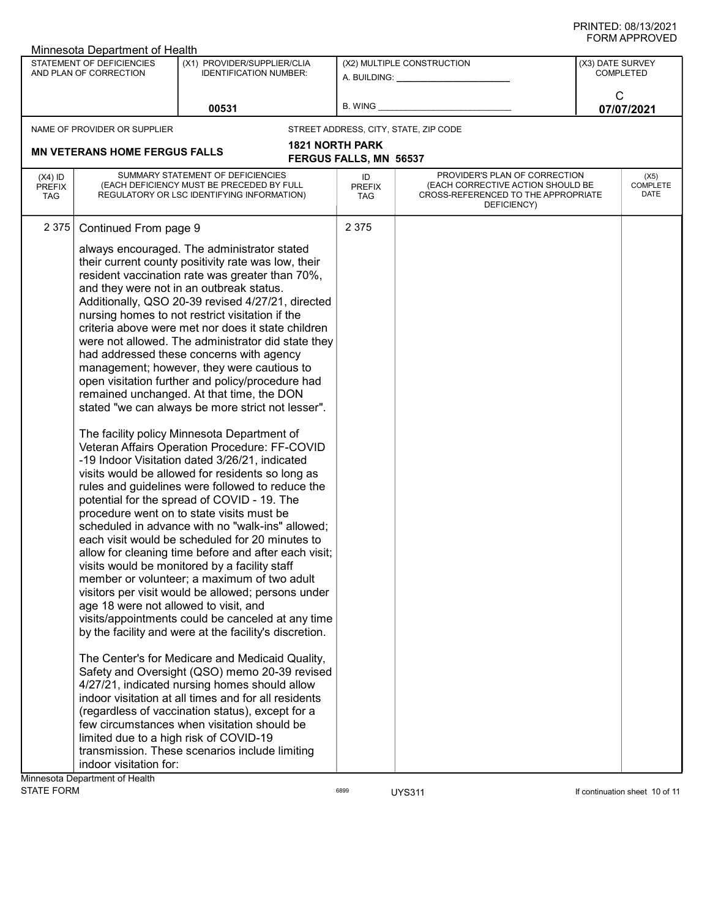| STATEMENT OF DEFICIENCIES<br>(X1) PROVIDER/SUPPLIER/CLIA<br>(X2) MULTIPLE CONSTRUCTION<br>(X3) DATE SURVEY<br><b>COMPLETED</b><br>AND PLAN OF CORRECTION<br><b>IDENTIFICATION NUMBER:</b><br>A. BUILDING: A. BUILDING:<br>C<br>B. WING<br>00531<br>07/07/2021<br>STREET ADDRESS, CITY, STATE, ZIP CODE<br>NAME OF PROVIDER OR SUPPLIER<br><b>1821 NORTH PARK</b><br><b>MN VETERANS HOME FERGUS FALLS</b><br><b>FERGUS FALLS, MN 56537</b><br>PROVIDER'S PLAN OF CORRECTION<br>SUMMARY STATEMENT OF DEFICIENCIES<br>$(X4)$ ID<br>ID<br>(X5)<br>COMPLETE<br>(EACH DEFICIENCY MUST BE PRECEDED BY FULL<br>(EACH CORRECTIVE ACTION SHOULD BE<br><b>PREFIX</b><br><b>PREFIX</b><br>DATE<br>REGULATORY OR LSC IDENTIFYING INFORMATION)<br>CROSS-REFERENCED TO THE APPROPRIATE<br><b>TAG</b><br><b>TAG</b><br>DEFICIENCY)<br>2 3 7 5<br>Continued From page 9<br>2 3 7 5<br>always encouraged. The administrator stated<br>their current county positivity rate was low, their<br>resident vaccination rate was greater than 70%,<br>and they were not in an outbreak status.<br>Additionally, QSO 20-39 revised 4/27/21, directed<br>nursing homes to not restrict visitation if the<br>criteria above were met nor does it state children<br>were not allowed. The administrator did state they<br>had addressed these concerns with agency<br>management; however, they were cautious to<br>open visitation further and policy/procedure had<br>remained unchanged. At that time, the DON<br>stated "we can always be more strict not lesser".<br>The facility policy Minnesota Department of<br>Veteran Affairs Operation Procedure: FF-COVID<br>-19 Indoor Visitation dated 3/26/21, indicated<br>visits would be allowed for residents so long as<br>rules and guidelines were followed to reduce the<br>potential for the spread of COVID - 19. The<br>procedure went on to state visits must be<br>scheduled in advance with no "walk-ins" allowed;<br>each visit would be scheduled for 20 minutes to<br>allow for cleaning time before and after each visit;<br>visits would be monitored by a facility staff<br>member or volunteer; a maximum of two adult<br>visitors per visit would be allowed; persons under<br>age 18 were not allowed to visit, and<br>visits/appointments could be canceled at any time<br>by the facility and were at the facility's discretion.<br>The Center's for Medicare and Medicaid Quality,<br>Safety and Oversight (QSO) memo 20-39 revised<br>4/27/21, indicated nursing homes should allow<br>indoor visitation at all times and for all residents<br>(regardless of vaccination status), except for a<br>few circumstances when visitation should be<br>limited due to a high risk of COVID-19<br>transmission. These scenarios include limiting<br>indoor visitation for: | <b>JINIAI LIVULL</b><br>Minnesota Department of Health |  |  |  |  |  |
|---------------------------------------------------------------------------------------------------------------------------------------------------------------------------------------------------------------------------------------------------------------------------------------------------------------------------------------------------------------------------------------------------------------------------------------------------------------------------------------------------------------------------------------------------------------------------------------------------------------------------------------------------------------------------------------------------------------------------------------------------------------------------------------------------------------------------------------------------------------------------------------------------------------------------------------------------------------------------------------------------------------------------------------------------------------------------------------------------------------------------------------------------------------------------------------------------------------------------------------------------------------------------------------------------------------------------------------------------------------------------------------------------------------------------------------------------------------------------------------------------------------------------------------------------------------------------------------------------------------------------------------------------------------------------------------------------------------------------------------------------------------------------------------------------------------------------------------------------------------------------------------------------------------------------------------------------------------------------------------------------------------------------------------------------------------------------------------------------------------------------------------------------------------------------------------------------------------------------------------------------------------------------------------------------------------------------------------------------------------------------------------------------------------------------------------------------------------------------------------------------------------------------------------------------------------------------------------------------------------------------------------------------------------------------------------------------------------------------------------------------------------------------------------------------------------------|--------------------------------------------------------|--|--|--|--|--|
|                                                                                                                                                                                                                                                                                                                                                                                                                                                                                                                                                                                                                                                                                                                                                                                                                                                                                                                                                                                                                                                                                                                                                                                                                                                                                                                                                                                                                                                                                                                                                                                                                                                                                                                                                                                                                                                                                                                                                                                                                                                                                                                                                                                                                                                                                                                                                                                                                                                                                                                                                                                                                                                                                                                                                                                                                     |                                                        |  |  |  |  |  |
|                                                                                                                                                                                                                                                                                                                                                                                                                                                                                                                                                                                                                                                                                                                                                                                                                                                                                                                                                                                                                                                                                                                                                                                                                                                                                                                                                                                                                                                                                                                                                                                                                                                                                                                                                                                                                                                                                                                                                                                                                                                                                                                                                                                                                                                                                                                                                                                                                                                                                                                                                                                                                                                                                                                                                                                                                     |                                                        |  |  |  |  |  |
|                                                                                                                                                                                                                                                                                                                                                                                                                                                                                                                                                                                                                                                                                                                                                                                                                                                                                                                                                                                                                                                                                                                                                                                                                                                                                                                                                                                                                                                                                                                                                                                                                                                                                                                                                                                                                                                                                                                                                                                                                                                                                                                                                                                                                                                                                                                                                                                                                                                                                                                                                                                                                                                                                                                                                                                                                     |                                                        |  |  |  |  |  |
|                                                                                                                                                                                                                                                                                                                                                                                                                                                                                                                                                                                                                                                                                                                                                                                                                                                                                                                                                                                                                                                                                                                                                                                                                                                                                                                                                                                                                                                                                                                                                                                                                                                                                                                                                                                                                                                                                                                                                                                                                                                                                                                                                                                                                                                                                                                                                                                                                                                                                                                                                                                                                                                                                                                                                                                                                     |                                                        |  |  |  |  |  |
|                                                                                                                                                                                                                                                                                                                                                                                                                                                                                                                                                                                                                                                                                                                                                                                                                                                                                                                                                                                                                                                                                                                                                                                                                                                                                                                                                                                                                                                                                                                                                                                                                                                                                                                                                                                                                                                                                                                                                                                                                                                                                                                                                                                                                                                                                                                                                                                                                                                                                                                                                                                                                                                                                                                                                                                                                     |                                                        |  |  |  |  |  |
|                                                                                                                                                                                                                                                                                                                                                                                                                                                                                                                                                                                                                                                                                                                                                                                                                                                                                                                                                                                                                                                                                                                                                                                                                                                                                                                                                                                                                                                                                                                                                                                                                                                                                                                                                                                                                                                                                                                                                                                                                                                                                                                                                                                                                                                                                                                                                                                                                                                                                                                                                                                                                                                                                                                                                                                                                     |                                                        |  |  |  |  |  |
|                                                                                                                                                                                                                                                                                                                                                                                                                                                                                                                                                                                                                                                                                                                                                                                                                                                                                                                                                                                                                                                                                                                                                                                                                                                                                                                                                                                                                                                                                                                                                                                                                                                                                                                                                                                                                                                                                                                                                                                                                                                                                                                                                                                                                                                                                                                                                                                                                                                                                                                                                                                                                                                                                                                                                                                                                     |                                                        |  |  |  |  |  |
|                                                                                                                                                                                                                                                                                                                                                                                                                                                                                                                                                                                                                                                                                                                                                                                                                                                                                                                                                                                                                                                                                                                                                                                                                                                                                                                                                                                                                                                                                                                                                                                                                                                                                                                                                                                                                                                                                                                                                                                                                                                                                                                                                                                                                                                                                                                                                                                                                                                                                                                                                                                                                                                                                                                                                                                                                     |                                                        |  |  |  |  |  |